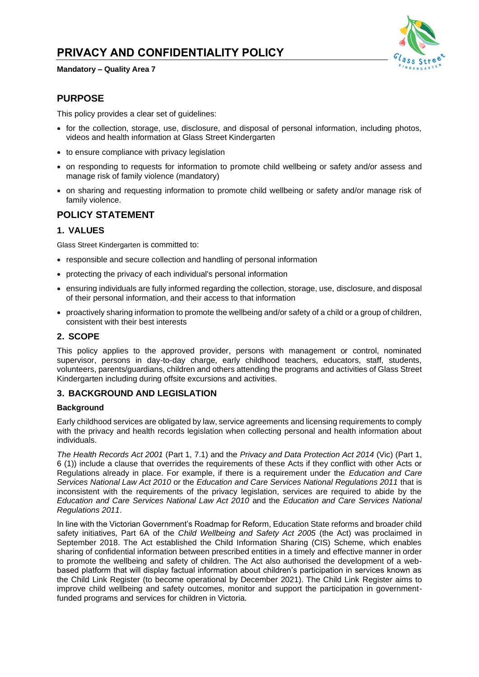

#### **Mandatory – Quality Area 7**

# **PURPOSE**

This policy provides a clear set of guidelines:

- for the collection, storage, use, disclosure, and disposal of personal information, including photos, videos and health information at Glass Street Kindergarten
- to ensure compliance with privacy legislation
- on responding to requests for information to promote child wellbeing or safety and/or assess and manage risk of family violence (mandatory)
- on sharing and requesting information to promote child wellbeing or safety and/or manage risk of family violence.

# **POLICY STATEMENT**

## **1. VALUES**

Glass Street Kindergarten is committed to:

- responsible and secure collection and handling of personal information
- protecting the privacy of each individual's personal information
- ensuring individuals are fully informed regarding the collection, storage, use, disclosure, and disposal of their personal information, and their access to that information
- proactively sharing information to promote the wellbeing and/or safety of a child or a group of children, consistent with their best interests

## **2. SCOPE**

This policy applies to the approved provider, persons with management or control, nominated supervisor, persons in day-to-day charge, early childhood teachers, educators, staff, students, volunteers, parents/guardians, children and others attending the programs and activities of Glass Street Kindergarten including during offsite excursions and activities.

## **3. BACKGROUND AND LEGISLATION**

### **Background**

Early childhood services are obligated by law, service agreements and licensing requirements to comply with the privacy and health records legislation when collecting personal and health information about individuals.

*The Health Records Act 2001* (Part 1, 7.1) and the *Privacy and Data Protection Act 2014* (Vic) (Part 1, 6 (1)) include a clause that overrides the requirements of these Acts if they conflict with other Acts or Regulations already in place. For example, if there is a requirement under the *Education and Care Services National Law Act 2010* or the *Education and Care Services National Regulations 2011* that is inconsistent with the requirements of the privacy legislation, services are required to abide by the *Education and Care Services National Law Act 2010* and the *Education and Care Services National Regulations 2011*.

In line with the Victorian Government's Roadmap for Reform, Education State reforms and broader child safety initiatives, Part 6A of the *Child Wellbeing and Safety Act 2005* (the Act) was proclaimed in September 2018. The Act established the Child Information Sharing (CIS) Scheme, which enables sharing of confidential information between prescribed entities in a timely and effective manner in order to promote the wellbeing and safety of children. The Act also authorised the development of a webbased platform that will display factual information about children's participation in services known as the Child Link Register (to become operational by December 2021). The Child Link Register aims to improve child wellbeing and safety outcomes, monitor and support the participation in governmentfunded programs and services for children in Victoria.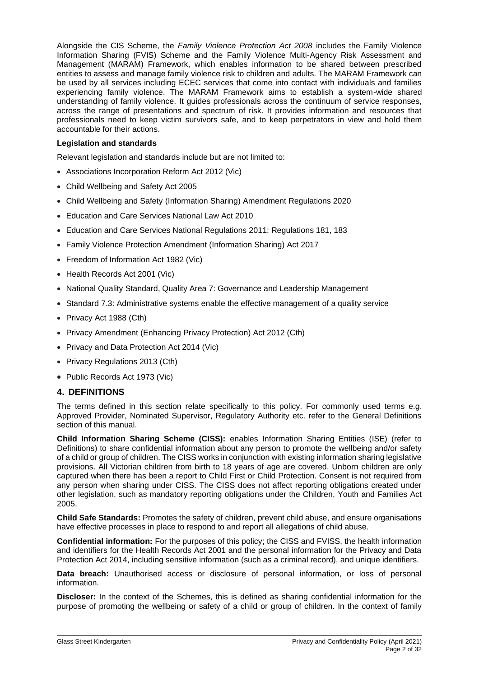Alongside the CIS Scheme, the *Family Violence Protection Act 2008* includes the Family Violence Information Sharing (FVIS) Scheme and the Family Violence Multi-Agency Risk Assessment and Management (MARAM) Framework, which enables information to be shared between prescribed entities to assess and manage family violence risk to children and adults. The MARAM Framework can be used by all services including ECEC services that come into contact with individuals and families experiencing family violence. The MARAM Framework aims to establish a system-wide shared understanding of family violence. It guides professionals across the continuum of service responses, across the range of presentations and spectrum of risk. It provides information and resources that professionals need to keep victim survivors safe, and to keep perpetrators in view and hold them accountable for their actions.

### **Legislation and standards**

Relevant legislation and standards include but are not limited to:

- Associations Incorporation Reform Act 2012 (Vic)
- Child Wellbeing and Safety Act 2005
- Child Wellbeing and Safety (Information Sharing) Amendment Regulations 2020
- Education and Care Services National Law Act 2010
- Education and Care Services National Regulations 2011: Regulations 181, 183
- Family Violence Protection Amendment (Information Sharing) Act 2017
- Freedom of Information Act 1982 (Vic)
- Health Records Act 2001 (Vic)
- National Quality Standard, Quality Area 7: Governance and Leadership Management
- Standard 7.3: Administrative systems enable the effective management of a quality service
- Privacy Act 1988 (Cth)
- Privacy Amendment (Enhancing Privacy Protection) Act 2012 (Cth)
- Privacy and Data Protection Act 2014 (Vic)
- Privacy Regulations 2013 (Cth)
- Public Records Act 1973 (Vic)

## **4. DEFINITIONS**

The terms defined in this section relate specifically to this policy. For commonly used terms e.g. Approved Provider, Nominated Supervisor, Regulatory Authority etc. refer to the General Definitions section of this manual.

**Child Information Sharing Scheme (CISS):** enables Information Sharing Entities (ISE) (refer to Definitions) to share confidential information about any person to promote the wellbeing and/or safety of a child or group of children. The CISS works in conjunction with existing information sharing legislative provisions. All Victorian children from birth to 18 years of age are covered. Unborn children are only captured when there has been a report to Child First or Child Protection. Consent is not required from any person when sharing under CISS. The CISS does not affect reporting obligations created under other legislation, such as mandatory reporting obligations under the Children, Youth and Families Act 2005.

**Child Safe Standards:** Promotes the safety of children, prevent child abuse, and ensure organisations have effective processes in place to respond to and report all allegations of child abuse.

**Confidential information:** For the purposes of this policy; the CISS and FVISS, the health information and identifiers for the Health Records Act 2001 and the personal information for the Privacy and Data Protection Act 2014, including sensitive information (such as a criminal record), and unique identifiers.

**Data breach:** Unauthorised access or disclosure of personal information, or loss of personal information.

**Discloser:** In the context of the Schemes, this is defined as sharing confidential information for the purpose of promoting the wellbeing or safety of a child or group of children. In the context of family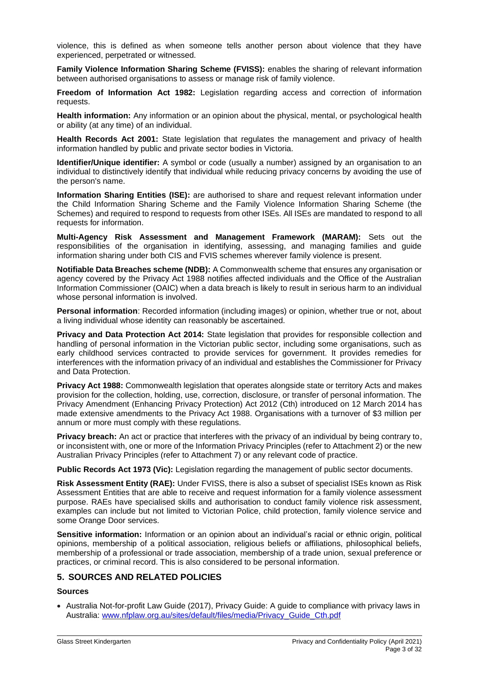violence, this is defined as when someone tells another person about violence that they have experienced, perpetrated or witnessed.

**Family Violence Information Sharing Scheme (FVISS):** enables the sharing of relevant information between authorised organisations to assess or manage risk of family violence.

**Freedom of Information Act 1982:** Legislation regarding access and correction of information requests.

**Health information:** Any information or an opinion about the physical, mental, or psychological health or ability (at any time) of an individual.

**Health Records Act 2001:** State legislation that regulates the management and privacy of health information handled by public and private sector bodies in Victoria.

**Identifier/Unique identifier:** A symbol or code (usually a number) assigned by an organisation to an individual to distinctively identify that individual while reducing privacy concerns by avoiding the use of the person's name.

**Information Sharing Entities (ISE):** are authorised to share and request relevant information under the Child Information Sharing Scheme and the Family Violence Information Sharing Scheme (the Schemes) and required to respond to requests from other ISEs. All ISEs are mandated to respond to all requests for information.

**Multi-Agency Risk Assessment and Management Framework (MARAM):** Sets out the responsibilities of the organisation in identifying, assessing, and managing families and guide information sharing under both CIS and FVIS schemes wherever family violence is present.

**Notifiable Data Breaches scheme (NDB):** A Commonwealth scheme that ensures any organisation or agency covered by the Privacy Act 1988 notifies affected individuals and the Office of the Australian Information Commissioner (OAIC) when a data breach is likely to result in serious harm to an individual whose personal information is involved.

**Personal information**: Recorded information (including images) or opinion, whether true or not, about a living individual whose identity can reasonably be ascertained.

**Privacy and Data Protection Act 2014:** State legislation that provides for responsible collection and handling of personal information in the Victorian public sector, including some organisations, such as early childhood services contracted to provide services for government. It provides remedies for interferences with the information privacy of an individual and establishes the Commissioner for Privacy and Data Protection.

**Privacy Act 1988:** Commonwealth legislation that operates alongside state or territory Acts and makes provision for the collection, holding, use, correction, disclosure, or transfer of personal information. The Privacy Amendment (Enhancing Privacy Protection) Act 2012 (Cth) introduced on 12 March 2014 has made extensive amendments to the Privacy Act 1988. Organisations with a turnover of \$3 million per annum or more must comply with these regulations.

**Privacy breach:** An act or practice that interferes with the privacy of an individual by being contrary to, or inconsistent with, one or more of the Information Privacy Principles (refer to Attachment 2) or the new Australian Privacy Principles (refer to Attachment 7) or any relevant code of practice.

**Public Records Act 1973 (Vic):** Legislation regarding the management of public sector documents.

**Risk Assessment Entity (RAE):** Under FVISS, there is also a subset of specialist ISEs known as Risk Assessment Entities that are able to receive and request information for a family violence assessment purpose. RAEs have specialised skills and authorisation to conduct family violence risk assessment, examples can include but not limited to Victorian Police, child protection, family violence service and some Orange Door services.

**Sensitive information:** Information or an opinion about an individual's racial or ethnic origin, political opinions, membership of a political association, religious beliefs or affiliations, philosophical beliefs, membership of a professional or trade association, membership of a trade union, sexual preference or practices, or criminal record. This is also considered to be personal information.

## **5. SOURCES AND RELATED POLICIES**

### **Sources**

• Australia Not-for-profit Law Guide (2017), Privacy Guide: A guide to compliance with privacy laws in Australia: [www.nfplaw.org.au/sites/default/files/media/Privacy\\_Guide\\_Cth.pdf](http://www.nfplaw.org.au/sites/default/files/media/Privacy_Guide_Cth.pdf)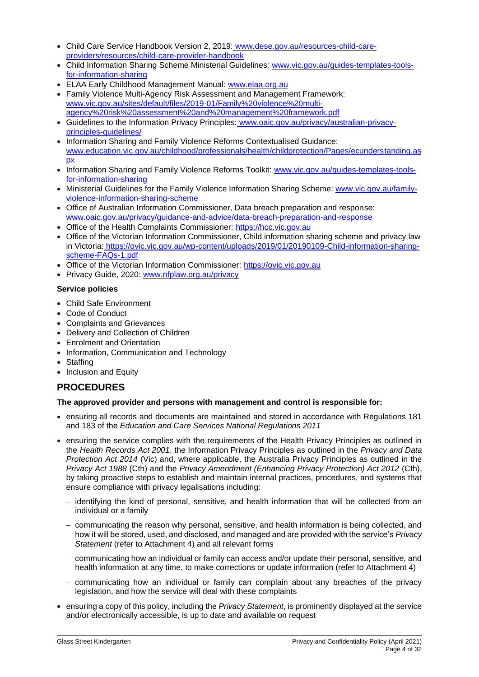- Child Care Service Handbook Version 2, 2019: [www.dese.gov.au/resources-child-care](http://www.dese.gov.au/resources-child-care-providers/resources/child-care-provider-handbook)[providers/resources/child-care-provider-handbook](http://www.dese.gov.au/resources-child-care-providers/resources/child-care-provider-handbook)
- Child Information Sharing Scheme Ministerial Guidelines: [www.vic.gov.au/guides-templates-tools](http://www.vic.gov.au/guides-templates-tools-for-information-sharing)[for-information-sharing](http://www.vic.gov.au/guides-templates-tools-for-information-sharing)
- ELAA Early Childhood Management Manual: [www.elaa.org.au](http://www.elaa.org.au/)
- Family Violence Multi-Agency Risk Assessment and Management Framework: [www.vic.gov.au/sites/default/files/2019-01/Family%20violence%20multi](http://www.vic.gov.au/sites/default/files/2019-01/Family%20violence%20multi-agency%20risk%20assessment%20and%20management%20framework.pdf)[agency%20risk%20assessment%20and%20management%20framework.pdf](http://www.vic.gov.au/sites/default/files/2019-01/Family%20violence%20multi-agency%20risk%20assessment%20and%20management%20framework.pdf)
- Guidelines to the Information Privacy Principles: [www.oaic.gov.au/privacy/australian-privacy](http://www.oaic.gov.au/privacy/australian-privacy-principles-guidelines/)principles-quidelines/
- Information Sharing and Family Violence Reforms Contextualised Guidance: [www.education.vic.gov.au/childhood/professionals/health/childprotection/Pages/ecunderstanding.as](http://www.education.vic.gov.au/childhood/professionals/health/childprotection/Pages/ecunderstanding.aspx) [px](http://www.education.vic.gov.au/childhood/professionals/health/childprotection/Pages/ecunderstanding.aspx)
- Information Sharing and Family Violence Reforms Toolkit: [www.vic.gov.au/guides-templates-tools](http://www.vic.gov.au/guides-templates-tools-for-information-sharing)[for-information-sharing](http://www.vic.gov.au/guides-templates-tools-for-information-sharing)
- Ministerial Guidelines for the Family Violence Information Sharing Scheme: [www.vic.gov.au/family](http://www.vic.gov.au/family-violence-information-sharing-scheme)[violence-information-sharing-scheme](http://www.vic.gov.au/family-violence-information-sharing-scheme)
- Office of Australian Information Commissioner, Data breach preparation and response: [www.oaic.gov.au/privacy/guidance-and-advice/data-breach-preparation-and-response](http://www.oaic.gov.au/privacy/guidance-and-advice/data-breach-preparation-and-response)
- Office of the Health Complaints Commissioner: [https://hcc.vic.gov.au](https://hcc.vic.gov.au/)
- Office of the Victorian Information Commissioner, Child information sharing scheme and privacy law in Victoria: [https://ovic.vic.gov.au/wp-content/uploads/2019/01/20190109-Child-information-sharing](https://ovic.vic.gov.au/wp-content/uploads/2019/01/20190109-Child-information-sharing-scheme-FAQs-1.pdf)[scheme-FAQs-1.pdf](https://ovic.vic.gov.au/wp-content/uploads/2019/01/20190109-Child-information-sharing-scheme-FAQs-1.pdf)
- Office of the Victorian Information Commissioner: [https://ovic.vic.gov.au](https://ovic.vic.gov.au/)
- Privacy Guide, 2020: [www.nfplaw.org.au/privacy](http://www.nfplaw.org.au/privacy)

## **Service policies**

- Child Safe Environment
- Code of Conduct
- Complaints and Grievances
- Delivery and Collection of Children
- Enrolment and Orientation
- Information, Communication and Technology
- Staffing
- Inclusion and Equity

# **PROCEDURES**

## **The approved provider and persons with management and control is responsible for:**

- ensuring all records and documents are maintained and stored in accordance with Regulations 181 and 183 of the *Education and Care Services National Regulations 2011*
- ensuring the service complies with the requirements of the Health Privacy Principles as outlined in the *Health Records Act 2001*, the Information Privacy Principles as outlined in the *Privacy and Data Protection Act 2014* (Vic) and, where applicable, the Australia Privacy Principles as outlined in the *Privacy Act 1988* (Cth) and the *Privacy Amendment (Enhancing Privacy Protection) Act 2012* (Cth), by taking proactive steps to establish and maintain internal practices, procedures, and systems that ensure compliance with privacy legalisations including:
	- − identifying the kind of personal, sensitive, and health information that will be collected from an individual or a family
	- − communicating the reason why personal, sensitive, and health information is being collected, and how it will be stored, used, and disclosed, and managed and are provided with the service's *Privacy Statement* (refer to Attachment 4) and all relevant forms
	- − communicating how an individual or family can access and/or update their personal, sensitive, and health information at any time, to make corrections or update information (refer to Attachment 4)
	- − communicating how an individual or family can complain about any breaches of the privacy legislation, and how the service will deal with these complaints
- ensuring a copy of this policy, including the *Privacy Statement*, is prominently displayed at the service and/or electronically accessible, is up to date and available on request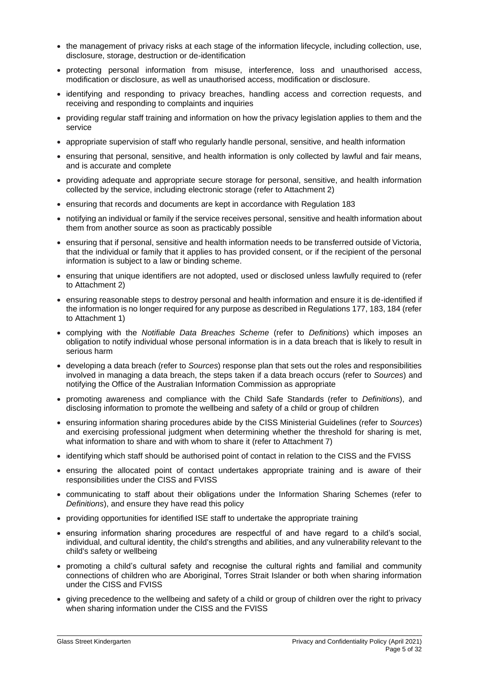- the management of privacy risks at each stage of the information lifecycle, including collection, use, disclosure, storage, destruction or de-identification
- protecting personal information from misuse, interference, loss and unauthorised access, modification or disclosure, as well as unauthorised access, modification or disclosure.
- identifying and responding to privacy breaches, handling access and correction requests, and receiving and responding to complaints and inquiries
- providing regular staff training and information on how the privacy legislation applies to them and the service
- appropriate supervision of staff who regularly handle personal, sensitive, and health information
- ensuring that personal, sensitive, and health information is only collected by lawful and fair means, and is accurate and complete
- providing adequate and appropriate secure storage for personal, sensitive, and health information collected by the service, including electronic storage (refer to Attachment 2)
- ensuring that records and documents are kept in accordance with Regulation 183
- notifying an individual or family if the service receives personal, sensitive and health information about them from another source as soon as practicably possible
- ensuring that if personal, sensitive and health information needs to be transferred outside of Victoria, that the individual or family that it applies to has provided consent, or if the recipient of the personal information is subject to a law or binding scheme.
- ensuring that unique identifiers are not adopted, used or disclosed unless lawfully required to (refer to Attachment 2)
- ensuring reasonable steps to destroy personal and health information and ensure it is de-identified if the information is no longer required for any purpose as described in Regulations 177, 183, 184 (refer to Attachment 1)
- complying with the *Notifiable Data Breaches Scheme* (refer to *Definitions*) which imposes an obligation to notify individual whose personal information is in a data breach that is likely to result in serious harm
- developing a data breach (refer to *Sources*) response plan that sets out the roles and responsibilities involved in managing a data breach, the steps taken if a data breach occurs (refer to *Sources*) and notifying the Office of the Australian Information Commission as appropriate
- promoting awareness and compliance with the Child Safe Standards (refer to *Definitions*), and disclosing information to promote the wellbeing and safety of a child or group of children
- ensuring information sharing procedures abide by the CISS Ministerial Guidelines (refer to *Sources*) and exercising professional judgment when determining whether the threshold for sharing is met, what information to share and with whom to share it (refer to Attachment 7)
- identifying which staff should be authorised point of contact in relation to the CISS and the FVISS
- ensuring the allocated point of contact undertakes appropriate training and is aware of their responsibilities under the CISS and FVISS
- communicating to staff about their obligations under the Information Sharing Schemes (refer to *Definitions*), and ensure they have read this policy
- providing opportunities for identified ISE staff to undertake the appropriate training
- ensuring information sharing procedures are respectful of and have regard to a child's social, individual, and cultural identity, the child's strengths and abilities, and any vulnerability relevant to the child's safety or wellbeing
- promoting a child's cultural safety and recognise the cultural rights and familial and community connections of children who are Aboriginal, Torres Strait Islander or both when sharing information under the CISS and FVISS
- giving precedence to the wellbeing and safety of a child or group of children over the right to privacy when sharing information under the CISS and the FVISS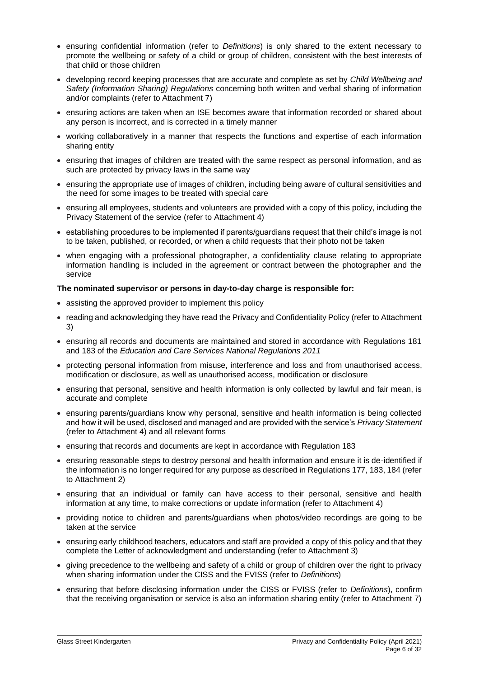- ensuring confidential information (refer to *Definitions*) is only shared to the extent necessary to promote the wellbeing or safety of a child or group of children, consistent with the best interests of that child or those children
- developing record keeping processes that are accurate and complete as set by *Child Wellbeing and Safety (Information Sharing) Regulations* concerning both written and verbal sharing of information and/or complaints (refer to Attachment 7)
- ensuring actions are taken when an ISE becomes aware that information recorded or shared about any person is incorrect, and is corrected in a timely manner
- working collaboratively in a manner that respects the functions and expertise of each information sharing entity
- ensuring that images of children are treated with the same respect as personal information, and as such are protected by privacy laws in the same way
- ensuring the appropriate use of images of children, including being aware of cultural sensitivities and the need for some images to be treated with special care
- ensuring all employees, students and volunteers are provided with a copy of this policy, including the Privacy Statement of the service (refer to Attachment 4)
- establishing procedures to be implemented if parents/guardians request that their child's image is not to be taken, published, or recorded, or when a child requests that their photo not be taken
- when engaging with a professional photographer, a confidentiality clause relating to appropriate information handling is included in the agreement or contract between the photographer and the service

#### **The nominated supervisor or persons in day-to-day charge is responsible for:**

- assisting the approved provider to implement this policy
- reading and acknowledging they have read the Privacy and Confidentiality Policy (refer to Attachment 3)
- ensuring all records and documents are maintained and stored in accordance with Regulations 181 and 183 of the *Education and Care Services National Regulations 2011*
- protecting personal information from misuse, interference and loss and from unauthorised access, modification or disclosure, as well as unauthorised access, modification or disclosure
- ensuring that personal, sensitive and health information is only collected by lawful and fair mean, is accurate and complete
- ensuring parents/guardians know why personal, sensitive and health information is being collected and how it will be used, disclosed and managed and are provided with the service's *Privacy Statement* (refer to Attachment 4) and all relevant forms
- ensuring that records and documents are kept in accordance with Regulation 183
- ensuring reasonable steps to destroy personal and health information and ensure it is de-identified if the information is no longer required for any purpose as described in Regulations 177, 183, 184 (refer to Attachment 2)
- ensuring that an individual or family can have access to their personal, sensitive and health information at any time, to make corrections or update information (refer to Attachment 4)
- providing notice to children and parents/guardians when photos/video recordings are going to be taken at the service
- ensuring early childhood teachers, educators and staff are provided a copy of this policy and that they complete the Letter of acknowledgment and understanding (refer to Attachment 3)
- giving precedence to the wellbeing and safety of a child or group of children over the right to privacy when sharing information under the CISS and the FVISS (refer to *Definitions*)
- ensuring that before disclosing information under the CISS or FVISS (refer to *Definitions*), confirm that the receiving organisation or service is also an information sharing entity (refer to Attachment 7)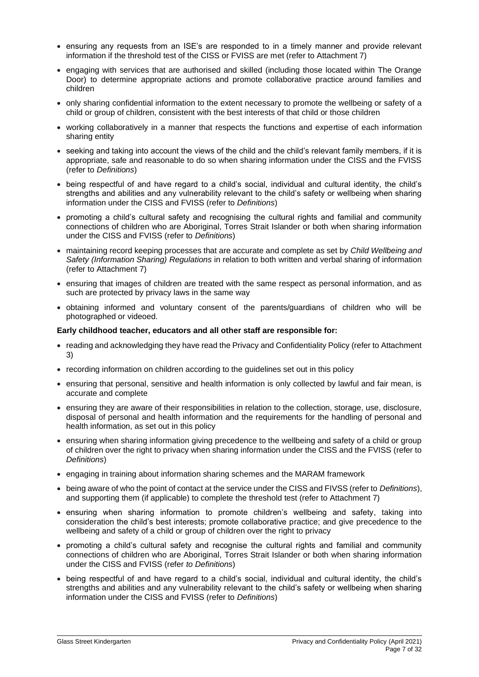- ensuring any requests from an ISE's are responded to in a timely manner and provide relevant information if the threshold test of the CISS or FVISS are met (refer to Attachment 7)
- engaging with services that are authorised and skilled (including those located within The Orange Door) to determine appropriate actions and promote collaborative practice around families and children
- only sharing confidential information to the extent necessary to promote the wellbeing or safety of a child or group of children, consistent with the best interests of that child or those children
- working collaboratively in a manner that respects the functions and expertise of each information sharing entity
- seeking and taking into account the views of the child and the child's relevant family members, if it is appropriate, safe and reasonable to do so when sharing information under the CISS and the FVISS (refer to *Definitions*)
- being respectful of and have regard to a child's social, individual and cultural identity, the child's strengths and abilities and any vulnerability relevant to the child's safety or wellbeing when sharing information under the CISS and FVISS (refer to *Definitions*)
- promoting a child's cultural safety and recognising the cultural rights and familial and community connections of children who are Aboriginal, Torres Strait Islander or both when sharing information under the CISS and FVISS (refer to *Definitions*)
- maintaining record keeping processes that are accurate and complete as set by *Child Wellbeing and Safety (Information Sharing) Regulations* in relation to both written and verbal sharing of information (refer to Attachment 7)
- ensuring that images of children are treated with the same respect as personal information, and as such are protected by privacy laws in the same way
- obtaining informed and voluntary consent of the parents/guardians of children who will be photographed or videoed.

#### **Early childhood teacher, educators and all other staff are responsible for:**

- reading and acknowledging they have read the Privacy and Confidentiality Policy (refer to Attachment 3)
- recording information on children according to the guidelines set out in this policy
- ensuring that personal, sensitive and health information is only collected by lawful and fair mean, is accurate and complete
- ensuring they are aware of their responsibilities in relation to the collection, storage, use, disclosure, disposal of personal and health information and the requirements for the handling of personal and health information, as set out in this policy
- ensuring when sharing information giving precedence to the wellbeing and safety of a child or group of children over the right to privacy when sharing information under the CISS and the FVISS (refer to *Definitions*)
- engaging in training about information sharing schemes and the MARAM framework
- being aware of who the point of contact at the service under the CISS and FIVSS (refer to *Definitions*), and supporting them (if applicable) to complete the threshold test (refer to Attachment 7)
- ensuring when sharing information to promote children's wellbeing and safety, taking into consideration the child's best interests; promote collaborative practice; and give precedence to the wellbeing and safety of a child or group of children over the right to privacy
- promoting a child's cultural safety and recognise the cultural rights and familial and community connections of children who are Aboriginal, Torres Strait Islander or both when sharing information under the CISS and FVISS (refer *to Definitions*)
- being respectful of and have regard to a child's social, individual and cultural identity, the child's strengths and abilities and any vulnerability relevant to the child's safety or wellbeing when sharing information under the CISS and FVISS (refer to *Definitions*)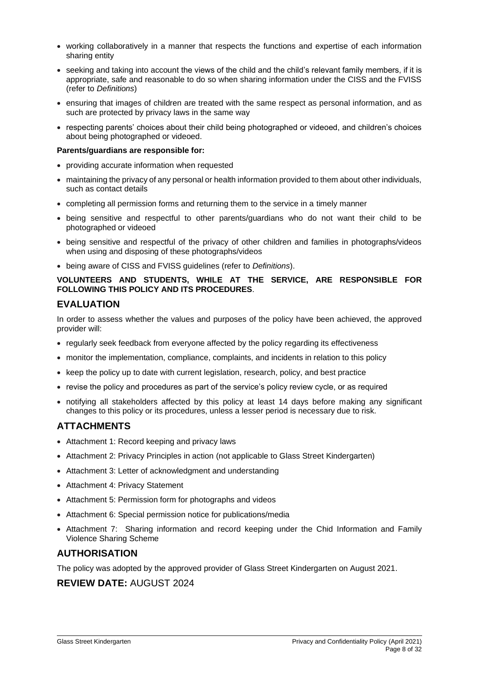- working collaboratively in a manner that respects the functions and expertise of each information sharing entity
- seeking and taking into account the views of the child and the child's relevant family members, if it is appropriate, safe and reasonable to do so when sharing information under the CISS and the FVISS (refer to *Definitions*)
- ensuring that images of children are treated with the same respect as personal information, and as such are protected by privacy laws in the same way
- respecting parents' choices about their child being photographed or videoed, and children's choices about being photographed or videoed.

#### **Parents/guardians are responsible for:**

- providing accurate information when requested
- maintaining the privacy of any personal or health information provided to them about other individuals, such as contact details
- completing all permission forms and returning them to the service in a timely manner
- being sensitive and respectful to other parents/guardians who do not want their child to be photographed or videoed
- being sensitive and respectful of the privacy of other children and families in photographs/videos when using and disposing of these photographs/videos
- being aware of CISS and FVISS guidelines (refer to *Definitions*).

## **VOLUNTEERS AND STUDENTS, WHILE AT THE SERVICE, ARE RESPONSIBLE FOR FOLLOWING THIS POLICY AND ITS PROCEDURES**.

## **EVALUATION**

In order to assess whether the values and purposes of the policy have been achieved, the approved provider will:

- regularly seek feedback from everyone affected by the policy regarding its effectiveness
- monitor the implementation, compliance, complaints, and incidents in relation to this policy
- keep the policy up to date with current legislation, research, policy, and best practice
- revise the policy and procedures as part of the service's policy review cycle, or as required
- notifying all stakeholders affected by this policy at least 14 days before making any significant changes to this policy or its procedures, unless a lesser period is necessary due to risk.

# **ATTACHMENTS**

- Attachment 1: Record keeping and privacy laws
- Attachment 2: Privacy Principles in action (not applicable to Glass Street Kindergarten)
- Attachment 3: Letter of acknowledgment and understanding
- Attachment 4: Privacy Statement
- Attachment 5: Permission form for photographs and videos
- Attachment 6: Special permission notice for publications/media
- Attachment 7: Sharing information and record keeping under the Chid Information and Family Violence Sharing Scheme

## **AUTHORISATION**

The policy was adopted by the approved provider of Glass Street Kindergarten on August 2021.

## **REVIEW DATE:** AUGUST 2024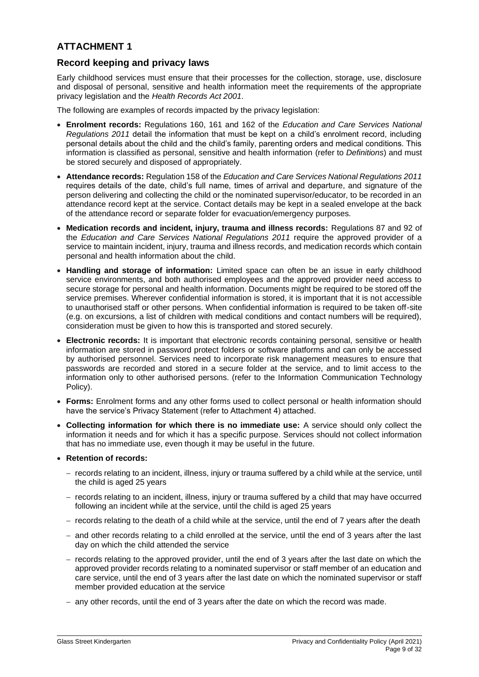# **Record keeping and privacy laws**

Early childhood services must ensure that their processes for the collection, storage, use, disclosure and disposal of personal, sensitive and health information meet the requirements of the appropriate privacy legislation and the *Health Records Act 2001*.

The following are examples of records impacted by the privacy legislation:

- **Enrolment records:** Regulations 160, 161 and 162 of the *Education and Care Services National Regulations 2011* detail the information that must be kept on a child's enrolment record, including personal details about the child and the child's family, parenting orders and medical conditions. This information is classified as personal, sensitive and health information (refer to *Definitions*) and must be stored securely and disposed of appropriately.
- **Attendance records:** Regulation 158 of the *Education and Care Services National Regulations 2011* requires details of the date, child's full name, times of arrival and departure, and signature of the person delivering and collecting the child or the nominated supervisor/educator, to be recorded in an attendance record kept at the service. Contact details may be kept in a sealed envelope at the back of the attendance record or separate folder for evacuation/emergency purposes.
- **Medication records and incident, injury, trauma and illness records:** Regulations 87 and 92 of the *Education and Care Services National Regulations 2011* require the approved provider of a service to maintain incident, injury, trauma and illness records, and medication records which contain personal and health information about the child.
- **Handling and storage of information:** Limited space can often be an issue in early childhood service environments, and both authorised employees and the approved provider need access to secure storage for personal and health information. Documents might be required to be stored off the service premises. Wherever confidential information is stored, it is important that it is not accessible to unauthorised staff or other persons. When confidential information is required to be taken off-site (e.g. on excursions, a list of children with medical conditions and contact numbers will be required), consideration must be given to how this is transported and stored securely.
- **Electronic records:** It is important that electronic records containing personal, sensitive or health information are stored in password protect folders or software platforms and can only be accessed by authorised personnel. Services need to incorporate risk management measures to ensure that passwords are recorded and stored in a secure folder at the service, and to limit access to the information only to other authorised persons. (refer to the Information Communication Technology Policy).
- **Forms:** Enrolment forms and any other forms used to collect personal or health information should have the service's Privacy Statement (refer to Attachment 4) attached.
- **Collecting information for which there is no immediate use:** A service should only collect the information it needs and for which it has a specific purpose. Services should not collect information that has no immediate use, even though it may be useful in the future.
- **Retention of records:** 
	- − records relating to an incident, illness, injury or trauma suffered by a child while at the service, until the child is aged 25 years
	- − records relating to an incident, illness, injury or trauma suffered by a child that may have occurred following an incident while at the service, until the child is aged 25 years
	- − records relating to the death of a child while at the service, until the end of 7 years after the death
	- − and other records relating to a child enrolled at the service, until the end of 3 years after the last day on which the child attended the service
	- − records relating to the approved provider, until the end of 3 years after the last date on which the approved provider records relating to a nominated supervisor or staff member of an education and care service, until the end of 3 years after the last date on which the nominated supervisor or staff member provided education at the service
	- − any other records, until the end of 3 years after the date on which the record was made.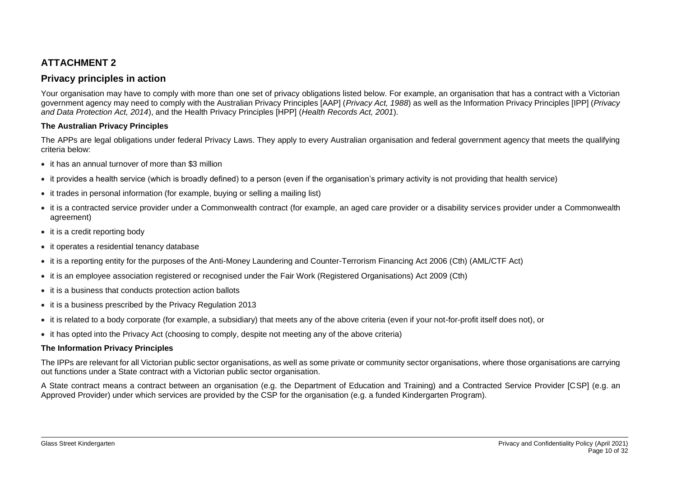# **Privacy principles in action**

Your organisation may have to comply with more than one set of privacy obligations listed below. For example, an organisation that has a contract with a Victorian government agency may need to comply with the Australian Privacy Principles [AAP] (*Privacy Act, 1988*) as well as the Information Privacy Principles [IPP] (*Privacy and Data Protection Act, 2014*), and the Health Privacy Principles [HPP] (*Health Records Act, 2001*).

## **The Australian Privacy Principles**

The APPs are legal obligations under federal Privacy Laws. They apply to every Australian organisation and federal government agency that meets the qualifying criteria below:

- it has an annual turnover of more than \$3 million
- it provides a health service (which is broadly defined) to a person (even if the organisation's primary activity is not providing that health service)
- it trades in personal information (for example, buying or selling a mailing list)
- it is a contracted service provider under a Commonwealth contract (for example, an aged care provider or a disability services provider under a Commonwealth agreement)
- it is a credit reporting body
- it operates a residential tenancy database
- it is a reporting entity for the purposes of the Anti-Money Laundering and Counter-Terrorism Financing Act 2006 (Cth) (AML/CTF Act)
- it is an employee association registered or recognised under the Fair Work (Registered Organisations) Act 2009 (Cth)
- it is a business that conducts protection action ballots
- it is a business prescribed by the Privacy Regulation 2013
- it is related to a body corporate (for example, a subsidiary) that meets any of the above criteria (even if your not-for-profit itself does not), or
- it has opted into the Privacy Act (choosing to comply, despite not meeting any of the above criteria)

## **The Information Privacy Principles**

The IPPs are relevant for all Victorian public sector organisations, as well as some private or community sector organisations, where those organisations are carrying out functions under a State contract with a Victorian public sector organisation.

A State contract means a contract between an organisation (e.g. the Department of Education and Training) and a Contracted Service Provider [CSP] (e.g. an Approved Provider) under which services are provided by the CSP for the organisation (e.g. a funded Kindergarten Program).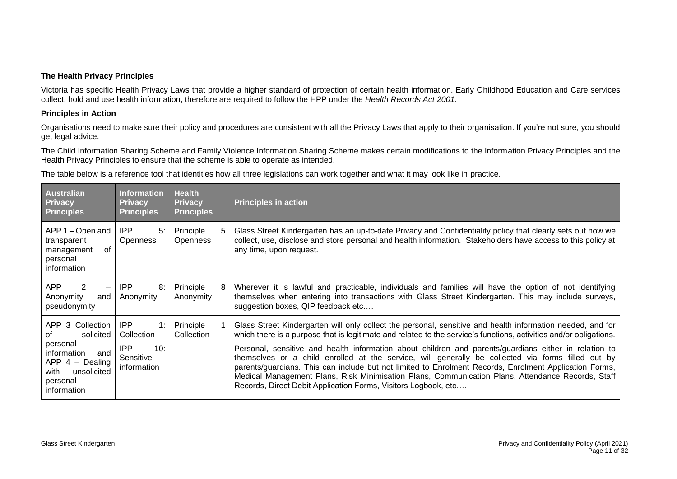#### **The Health Privacy Principles**

Victoria has specific Health Privacy Laws that provide a higher standard of protection of certain health information. Early Childhood Education and Care services collect, hold and use health information, therefore are required to follow the HPP under the *Health Records Act 2001*.

### **Principles in Action**

Organisations need to make sure their policy and procedures are consistent with all the Privacy Laws that apply to their organisation. If you're not sure, you should get legal advice.

The Child Information Sharing Scheme and Family Violence Information Sharing Scheme makes certain modifications to the Information Privacy Principles and the Health Privacy Principles to ensure that the scheme is able to operate as intended.

The table below is a reference tool that identities how all three legislations can work together and what it may look like in practice.

| <b>Australian</b><br><b>Privacy</b><br><b>Principles</b>                                                                                     | <b>Information</b><br><b>Privacy</b><br><b>Principles</b>         | <b>Health</b><br><b>Privacy</b><br><b>Principles</b> | <b>Principles in action</b>                                                                                                                                                                                                                                                                                                                                                                                                                                                                                                                                                                                                                                                                                                      |
|----------------------------------------------------------------------------------------------------------------------------------------------|-------------------------------------------------------------------|------------------------------------------------------|----------------------------------------------------------------------------------------------------------------------------------------------------------------------------------------------------------------------------------------------------------------------------------------------------------------------------------------------------------------------------------------------------------------------------------------------------------------------------------------------------------------------------------------------------------------------------------------------------------------------------------------------------------------------------------------------------------------------------------|
| APP 1 – Open and<br>transparent<br>0f<br>management<br>personal<br>information                                                               | IPP<br>5:<br><b>Openness</b>                                      | Principle<br><b>Openness</b>                         | Glass Street Kindergarten has an up-to-date Privacy and Confidentiality policy that clearly sets out how we<br>collect, use, disclose and store personal and health information. Stakeholders have access to this policy at<br>any time, upon request.                                                                                                                                                                                                                                                                                                                                                                                                                                                                           |
| <b>APP</b><br>2<br>$\qquad \qquad \qquad$<br>Anonymity<br>and<br>pseudonymity                                                                | <b>IPP</b><br>8:<br>Anonymity                                     | Principle<br>8<br>Anonymity                          | Wherever it is lawful and practicable, individuals and families will have the option of not identifying<br>themselves when entering into transactions with Glass Street Kindergarten. This may include surveys,<br>suggestion boxes, QIP feedback etc                                                                                                                                                                                                                                                                                                                                                                                                                                                                            |
| APP 3 Collection<br>solicited<br>οf<br>personal<br>information<br>and<br>$APP 4 - Dealing$<br>with<br>unsolicited<br>personal<br>information | IPP<br>1:<br>Collection<br>IPP<br>10:<br>Sensitive<br>information | Principle<br>Collection                              | Glass Street Kindergarten will only collect the personal, sensitive and health information needed, and for<br>which there is a purpose that is legitimate and related to the service's functions, activities and/or obligations.<br>Personal, sensitive and health information about children and parents/guardians either in relation to<br>themselves or a child enrolled at the service, will generally be collected via forms filled out by<br>parents/guardians. This can include but not limited to Enrolment Records, Enrolment Application Forms,<br>Medical Management Plans, Risk Minimisation Plans, Communication Plans, Attendance Records, Staff<br>Records, Direct Debit Application Forms, Visitors Logbook, etc |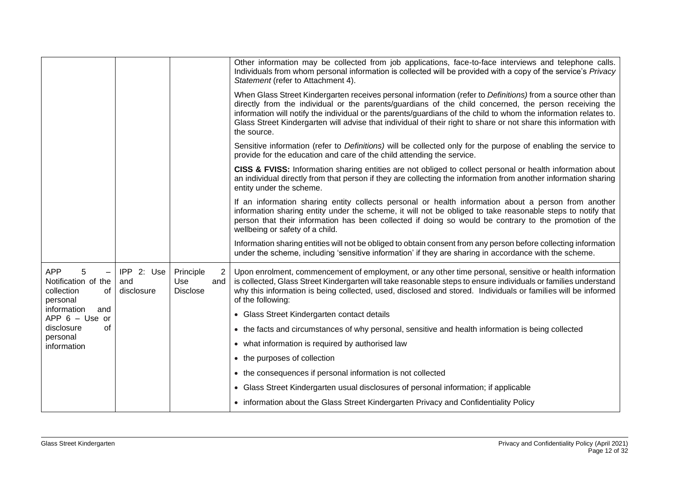|                                                                                                    |                                 |                                            | Other information may be collected from job applications, face-to-face interviews and telephone calls.<br>Individuals from whom personal information is collected will be provided with a copy of the service's Privacy<br>Statement (refer to Attachment 4).                                                                                                                                                                                                                 |
|----------------------------------------------------------------------------------------------------|---------------------------------|--------------------------------------------|-------------------------------------------------------------------------------------------------------------------------------------------------------------------------------------------------------------------------------------------------------------------------------------------------------------------------------------------------------------------------------------------------------------------------------------------------------------------------------|
|                                                                                                    |                                 |                                            | When Glass Street Kindergarten receives personal information (refer to Definitions) from a source other than<br>directly from the individual or the parents/guardians of the child concerned, the person receiving the<br>information will notify the individual or the parents/guardians of the child to whom the information relates to.<br>Glass Street Kindergarten will advise that individual of their right to share or not share this information with<br>the source. |
|                                                                                                    |                                 |                                            | Sensitive information (refer to Definitions) will be collected only for the purpose of enabling the service to<br>provide for the education and care of the child attending the service.                                                                                                                                                                                                                                                                                      |
|                                                                                                    |                                 |                                            | CISS & FVISS: Information sharing entities are not obliged to collect personal or health information about<br>an individual directly from that person if they are collecting the information from another information sharing<br>entity under the scheme.                                                                                                                                                                                                                     |
|                                                                                                    |                                 |                                            | If an information sharing entity collects personal or health information about a person from another<br>information sharing entity under the scheme, it will not be obliged to take reasonable steps to notify that<br>person that their information has been collected if doing so would be contrary to the promotion of the<br>wellbeing or safety of a child.                                                                                                              |
|                                                                                                    |                                 |                                            | Information sharing entities will not be obliged to obtain consent from any person before collecting information<br>under the scheme, including 'sensitive information' if they are sharing in accordance with the scheme.                                                                                                                                                                                                                                                    |
| <b>APP</b><br>5<br>$\overline{\phantom{m}}$<br>Notification of the<br>collection<br>οf<br>personal | IPP 2: Use<br>and<br>disclosure | Principle<br>Use<br>and<br><b>Disclose</b> | Upon enrolment, commencement of employment, or any other time personal, sensitive or health information<br>$\overline{2}$<br>is collected, Glass Street Kindergarten will take reasonable steps to ensure individuals or families understand<br>why this information is being collected, used, disclosed and stored. Individuals or families will be informed<br>of the following:                                                                                            |
| information<br>and<br>$APP 6 - Use or$                                                             |                                 |                                            | • Glass Street Kindergarten contact details                                                                                                                                                                                                                                                                                                                                                                                                                                   |
| disclosure<br>of<br>personal                                                                       |                                 |                                            | • the facts and circumstances of why personal, sensitive and health information is being collected                                                                                                                                                                                                                                                                                                                                                                            |
| information                                                                                        |                                 |                                            | • what information is required by authorised law                                                                                                                                                                                                                                                                                                                                                                                                                              |
|                                                                                                    |                                 |                                            | • the purposes of collection                                                                                                                                                                                                                                                                                                                                                                                                                                                  |
|                                                                                                    |                                 |                                            | • the consequences if personal information is not collected                                                                                                                                                                                                                                                                                                                                                                                                                   |
|                                                                                                    |                                 |                                            | • Glass Street Kindergarten usual disclosures of personal information; if applicable                                                                                                                                                                                                                                                                                                                                                                                          |
|                                                                                                    |                                 |                                            | • information about the Glass Street Kindergarten Privacy and Confidentiality Policy                                                                                                                                                                                                                                                                                                                                                                                          |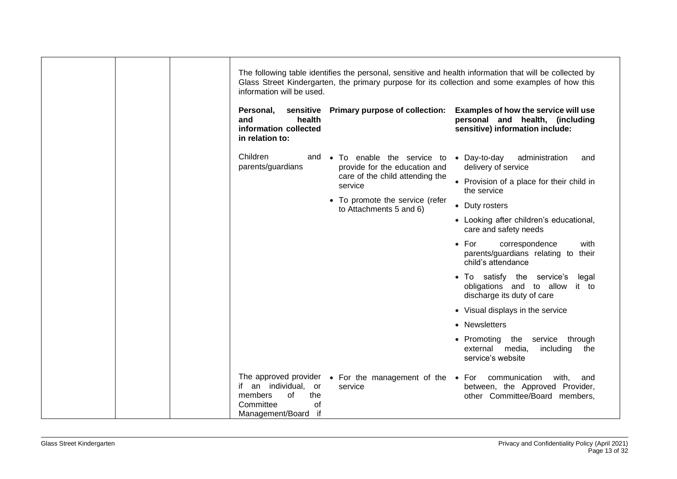| sensitive Primary purpose of collection:<br>Personal,<br>health<br>and<br>information collected<br>in relation to:                                                           | Examples of how the service will use<br>personal and health, (including<br>sensitive) information include: |
|------------------------------------------------------------------------------------------------------------------------------------------------------------------------------|------------------------------------------------------------------------------------------------------------|
| Children<br>and<br>parents/guardians<br>provide for the education and                                                                                                        | • To enable the service to • Day-to-day<br>administration<br>and<br>delivery of service                    |
| care of the child attending the<br>service                                                                                                                                   | • Provision of a place for their child in<br>the service                                                   |
| • To promote the service (refer<br>to Attachments 5 and 6)                                                                                                                   | • Duty rosters                                                                                             |
|                                                                                                                                                                              | • Looking after children's educational,<br>care and safety needs                                           |
|                                                                                                                                                                              | $\bullet$ For<br>with<br>correspondence<br>parents/guardians relating to their<br>child's attendance       |
|                                                                                                                                                                              | • To satisfy the service's<br>legal<br>obligations and to allow it to<br>discharge its duty of care        |
|                                                                                                                                                                              | • Visual displays in the service                                                                           |
|                                                                                                                                                                              | • Newsletters                                                                                              |
|                                                                                                                                                                              | • Promoting the<br>service through<br>external media,<br>including<br>the<br>service's website             |
| The approved provider $\bullet$ For the management of the $\bullet$ For<br>if an individual, or<br>service<br>members<br>the<br>οf<br>Committee<br>0f<br>Management/Board if | communication<br>with,<br>and<br>between, the Approved Provider,<br>other Committee/Board members,         |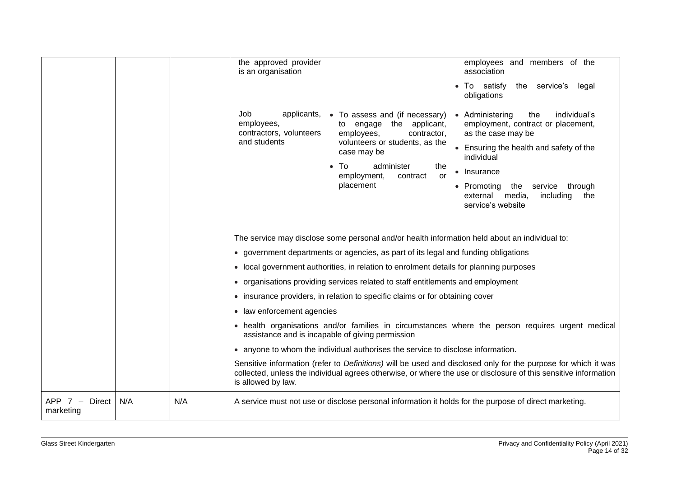|                               |                                                                                                                                                                                                                         |                                                                                                    | the approved provider<br>is an organisation           |                                                                                               | employees and members of the<br>association                                                                                                                                                                                      |
|-------------------------------|-------------------------------------------------------------------------------------------------------------------------------------------------------------------------------------------------------------------------|----------------------------------------------------------------------------------------------------|-------------------------------------------------------|-----------------------------------------------------------------------------------------------|----------------------------------------------------------------------------------------------------------------------------------------------------------------------------------------------------------------------------------|
|                               |                                                                                                                                                                                                                         |                                                                                                    |                                                       |                                                                                               | To satisfy<br>the service's legal<br>obligations                                                                                                                                                                                 |
|                               | Job<br>applicants, • To assess and (if necessary)<br>employees,<br>engage the applicant,<br>to<br>contractors, volunteers<br>employees,<br>contractor,<br>and students<br>volunteers or students, as the<br>case may be | • Administering<br>the<br>individual's<br>employment, contract or placement,<br>as the case may be |                                                       |                                                                                               |                                                                                                                                                                                                                                  |
|                               |                                                                                                                                                                                                                         |                                                                                                    | • Ensuring the health and safety of the<br>individual |                                                                                               |                                                                                                                                                                                                                                  |
|                               |                                                                                                                                                                                                                         |                                                                                                    |                                                       | To<br>administer<br>the<br>$\bullet$<br>employment,<br>contract<br>or                         | • Insurance                                                                                                                                                                                                                      |
|                               |                                                                                                                                                                                                                         |                                                                                                    |                                                       | placement                                                                                     | • Promoting<br>the<br>service<br>through<br>including<br>external media,<br>the<br>service's website                                                                                                                             |
|                               |                                                                                                                                                                                                                         |                                                                                                    |                                                       |                                                                                               |                                                                                                                                                                                                                                  |
|                               |                                                                                                                                                                                                                         |                                                                                                    |                                                       | The service may disclose some personal and/or health information held about an individual to: |                                                                                                                                                                                                                                  |
|                               |                                                                                                                                                                                                                         |                                                                                                    |                                                       | • government departments or agencies, as part of its legal and funding obligations            |                                                                                                                                                                                                                                  |
|                               |                                                                                                                                                                                                                         |                                                                                                    |                                                       | • local government authorities, in relation to enrolment details for planning purposes        |                                                                                                                                                                                                                                  |
|                               |                                                                                                                                                                                                                         |                                                                                                    |                                                       | • organisations providing services related to staff entitlements and employment               |                                                                                                                                                                                                                                  |
|                               |                                                                                                                                                                                                                         |                                                                                                    |                                                       | • insurance providers, in relation to specific claims or for obtaining cover                  |                                                                                                                                                                                                                                  |
|                               |                                                                                                                                                                                                                         |                                                                                                    | • law enforcement agencies                            |                                                                                               |                                                                                                                                                                                                                                  |
|                               |                                                                                                                                                                                                                         |                                                                                                    | assistance and is incapable of giving permission      |                                                                                               | • health organisations and/or families in circumstances where the person requires urgent medical                                                                                                                                 |
|                               |                                                                                                                                                                                                                         |                                                                                                    |                                                       | • anyone to whom the individual authorises the service to disclose information.               |                                                                                                                                                                                                                                  |
|                               |                                                                                                                                                                                                                         |                                                                                                    | is allowed by law.                                    |                                                                                               | Sensitive information (refer to Definitions) will be used and disclosed only for the purpose for which it was<br>collected, unless the individual agrees otherwise, or where the use or disclosure of this sensitive information |
| $APP 7 - Direct$<br>marketing | N/A                                                                                                                                                                                                                     | N/A                                                                                                |                                                       |                                                                                               | A service must not use or disclose personal information it holds for the purpose of direct marketing.                                                                                                                            |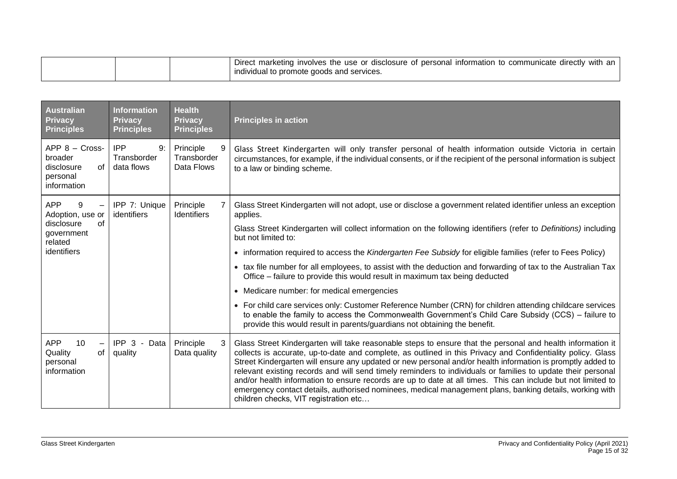| <b>Australian</b><br><b>Privacy</b><br><b>Principles</b>                   | <b>Information</b><br><b>Privacy</b><br><b>Principles</b> | <b>Health</b><br><b>Privacy</b><br><b>Principles</b> | <b>Principles in action</b>                                                                                                                                                                                                                                                                                                                                                                                                                                                                                                                                                                                                                                                                                                  |
|----------------------------------------------------------------------------|-----------------------------------------------------------|------------------------------------------------------|------------------------------------------------------------------------------------------------------------------------------------------------------------------------------------------------------------------------------------------------------------------------------------------------------------------------------------------------------------------------------------------------------------------------------------------------------------------------------------------------------------------------------------------------------------------------------------------------------------------------------------------------------------------------------------------------------------------------------|
| $APP 8 - Cross-$<br>broader<br>disclosure<br>of<br>personal<br>information | <b>IPP</b><br>9:<br>Transborder<br>data flows             | Principle<br>Transborder<br>Data Flows               | Glass Street Kindergarten will only transfer personal of health information outside Victoria in certain<br>circumstances, for example, if the individual consents, or if the recipient of the personal information is subject<br>to a law or binding scheme.                                                                                                                                                                                                                                                                                                                                                                                                                                                                 |
| <b>APP</b><br>9<br>Adoption, use or                                        | IPP 7: Unique<br>identifiers                              | Principle<br><b>Identifiers</b>                      | Glass Street Kindergarten will not adopt, use or disclose a government related identifier unless an exception<br>applies.                                                                                                                                                                                                                                                                                                                                                                                                                                                                                                                                                                                                    |
| government<br>related                                                      | of<br>disclosure                                          |                                                      | Glass Street Kindergarten will collect information on the following identifiers (refer to Definitions) including<br>but not limited to:                                                                                                                                                                                                                                                                                                                                                                                                                                                                                                                                                                                      |
| identifiers                                                                |                                                           |                                                      | • information required to access the Kindergarten Fee Subsidy for eligible families (refer to Fees Policy)                                                                                                                                                                                                                                                                                                                                                                                                                                                                                                                                                                                                                   |
|                                                                            |                                                           |                                                      | • tax file number for all employees, to assist with the deduction and forwarding of tax to the Australian Tax<br>Office - failure to provide this would result in maximum tax being deducted                                                                                                                                                                                                                                                                                                                                                                                                                                                                                                                                 |
|                                                                            |                                                           |                                                      | • Medicare number: for medical emergencies                                                                                                                                                                                                                                                                                                                                                                                                                                                                                                                                                                                                                                                                                   |
|                                                                            |                                                           |                                                      | • For child care services only: Customer Reference Number (CRN) for children attending childcare services<br>to enable the family to access the Commonwealth Government's Child Care Subsidy (CCS) - failure to<br>provide this would result in parents/guardians not obtaining the benefit.                                                                                                                                                                                                                                                                                                                                                                                                                                 |
| <b>APP</b><br>10<br>Quality<br>of<br>personal<br>information               | IPP 3 - Data<br>quality                                   | Principle<br>Data quality                            | Glass Street Kindergarten will take reasonable steps to ensure that the personal and health information it<br>collects is accurate, up-to-date and complete, as outlined in this Privacy and Confidentiality policy. Glass<br>Street Kindergarten will ensure any updated or new personal and/or health information is promptly added to<br>relevant existing records and will send timely reminders to individuals or families to update their personal<br>and/or health information to ensure records are up to date at all times. This can include but not limited to<br>emergency contact details, authorised nominees, medical management plans, banking details, working with<br>children checks, VIT registration etc |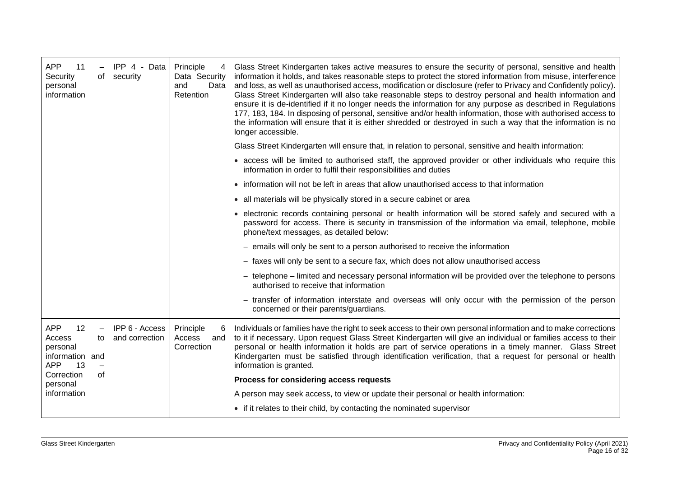| <b>APP</b><br>11<br>Security<br>of I<br>personal<br>information                        | IPP 4 - Data<br>security         | Principle<br>4<br>Data Security<br>and<br>Data<br>Retention | Glass Street Kindergarten takes active measures to ensure the security of personal, sensitive and health<br>information it holds, and takes reasonable steps to protect the stored information from misuse, interference<br>and loss, as well as unauthorised access, modification or disclosure (refer to Privacy and Confidently policy).<br>Glass Street Kindergarten will also take reasonable steps to destroy personal and health information and<br>ensure it is de-identified if it no longer needs the information for any purpose as described in Regulations<br>177, 183, 184. In disposing of personal, sensitive and/or health information, those with authorised access to<br>the information will ensure that it is either shredded or destroyed in such a way that the information is no<br>longer accessible. |
|----------------------------------------------------------------------------------------|----------------------------------|-------------------------------------------------------------|--------------------------------------------------------------------------------------------------------------------------------------------------------------------------------------------------------------------------------------------------------------------------------------------------------------------------------------------------------------------------------------------------------------------------------------------------------------------------------------------------------------------------------------------------------------------------------------------------------------------------------------------------------------------------------------------------------------------------------------------------------------------------------------------------------------------------------|
|                                                                                        |                                  |                                                             | Glass Street Kindergarten will ensure that, in relation to personal, sensitive and health information:                                                                                                                                                                                                                                                                                                                                                                                                                                                                                                                                                                                                                                                                                                                         |
|                                                                                        |                                  |                                                             | • access will be limited to authorised staff, the approved provider or other individuals who require this<br>information in order to fulfil their responsibilities and duties                                                                                                                                                                                                                                                                                                                                                                                                                                                                                                                                                                                                                                                  |
|                                                                                        |                                  |                                                             | • information will not be left in areas that allow unauthorised access to that information                                                                                                                                                                                                                                                                                                                                                                                                                                                                                                                                                                                                                                                                                                                                     |
|                                                                                        |                                  |                                                             | • all materials will be physically stored in a secure cabinet or area                                                                                                                                                                                                                                                                                                                                                                                                                                                                                                                                                                                                                                                                                                                                                          |
|                                                                                        |                                  |                                                             | • electronic records containing personal or health information will be stored safely and secured with a<br>password for access. There is security in transmission of the information via email, telephone, mobile<br>phone/text messages, as detailed below:                                                                                                                                                                                                                                                                                                                                                                                                                                                                                                                                                                   |
|                                                                                        |                                  |                                                             | - emails will only be sent to a person authorised to receive the information                                                                                                                                                                                                                                                                                                                                                                                                                                                                                                                                                                                                                                                                                                                                                   |
|                                                                                        |                                  |                                                             | - faxes will only be sent to a secure fax, which does not allow unauthorised access                                                                                                                                                                                                                                                                                                                                                                                                                                                                                                                                                                                                                                                                                                                                            |
|                                                                                        |                                  |                                                             | - telephone - limited and necessary personal information will be provided over the telephone to persons<br>authorised to receive that information                                                                                                                                                                                                                                                                                                                                                                                                                                                                                                                                                                                                                                                                              |
|                                                                                        |                                  |                                                             | - transfer of information interstate and overseas will only occur with the permission of the person<br>concerned or their parents/guardians.                                                                                                                                                                                                                                                                                                                                                                                                                                                                                                                                                                                                                                                                                   |
| <b>APP</b><br>12<br>Access<br>to<br>personal<br>information<br>and<br><b>APP</b><br>13 | IPP 6 - Access<br>and correction | Principle<br>6<br>Access<br>and<br>Correction               | Individuals or families have the right to seek access to their own personal information and to make corrections<br>to it if necessary. Upon request Glass Street Kindergarten will give an individual or families access to their<br>personal or health information it holds are part of service operations in a timely manner. Glass Street<br>Kindergarten must be satisfied through identification verification, that a request for personal or health<br>information is granted.                                                                                                                                                                                                                                                                                                                                           |
| οf<br>Correction<br>personal                                                           |                                  |                                                             | Process for considering access requests                                                                                                                                                                                                                                                                                                                                                                                                                                                                                                                                                                                                                                                                                                                                                                                        |
| information                                                                            |                                  |                                                             | A person may seek access, to view or update their personal or health information:                                                                                                                                                                                                                                                                                                                                                                                                                                                                                                                                                                                                                                                                                                                                              |
|                                                                                        |                                  |                                                             | • if it relates to their child, by contacting the nominated supervisor                                                                                                                                                                                                                                                                                                                                                                                                                                                                                                                                                                                                                                                                                                                                                         |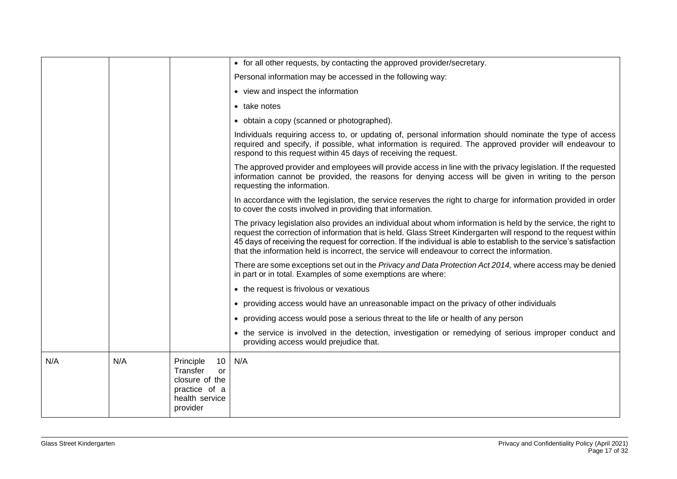|     |     |                                                                                                    | • for all other requests, by contacting the approved provider/secretary.                                                                                                                                                                                                                                                                                                                                                                                       |
|-----|-----|----------------------------------------------------------------------------------------------------|----------------------------------------------------------------------------------------------------------------------------------------------------------------------------------------------------------------------------------------------------------------------------------------------------------------------------------------------------------------------------------------------------------------------------------------------------------------|
|     |     |                                                                                                    | Personal information may be accessed in the following way:                                                                                                                                                                                                                                                                                                                                                                                                     |
|     |     |                                                                                                    | • view and inspect the information                                                                                                                                                                                                                                                                                                                                                                                                                             |
|     |     |                                                                                                    | • take notes                                                                                                                                                                                                                                                                                                                                                                                                                                                   |
|     |     |                                                                                                    | • obtain a copy (scanned or photographed).                                                                                                                                                                                                                                                                                                                                                                                                                     |
|     |     |                                                                                                    | Individuals requiring access to, or updating of, personal information should nominate the type of access<br>required and specify, if possible, what information is required. The approved provider will endeavour to<br>respond to this request within 45 days of receiving the request.                                                                                                                                                                       |
|     |     |                                                                                                    | The approved provider and employees will provide access in line with the privacy legislation. If the requested<br>information cannot be provided, the reasons for denying access will be given in writing to the person<br>requesting the information.                                                                                                                                                                                                         |
|     |     |                                                                                                    | In accordance with the legislation, the service reserves the right to charge for information provided in order<br>to cover the costs involved in providing that information.                                                                                                                                                                                                                                                                                   |
|     |     |                                                                                                    | The privacy legislation also provides an individual about whom information is held by the service, the right to<br>request the correction of information that is held. Glass Street Kindergarten will respond to the request within<br>45 days of receiving the request for correction. If the individual is able to establish to the service's satisfaction<br>that the information held is incorrect, the service will endeavour to correct the information. |
|     |     |                                                                                                    | There are some exceptions set out in the Privacy and Data Protection Act 2014, where access may be denied<br>in part or in total. Examples of some exemptions are where:                                                                                                                                                                                                                                                                                       |
|     |     |                                                                                                    | • the request is frivolous or vexatious                                                                                                                                                                                                                                                                                                                                                                                                                        |
|     |     |                                                                                                    | • providing access would have an unreasonable impact on the privacy of other individuals                                                                                                                                                                                                                                                                                                                                                                       |
|     |     |                                                                                                    | • providing access would pose a serious threat to the life or health of any person                                                                                                                                                                                                                                                                                                                                                                             |
|     |     |                                                                                                    | • the service is involved in the detection, investigation or remedying of serious improper conduct and<br>providing access would prejudice that.                                                                                                                                                                                                                                                                                                               |
| N/A | N/A | Principle<br>10<br>Transfer<br>or<br>closure of the<br>practice of a<br>health service<br>provider | N/A                                                                                                                                                                                                                                                                                                                                                                                                                                                            |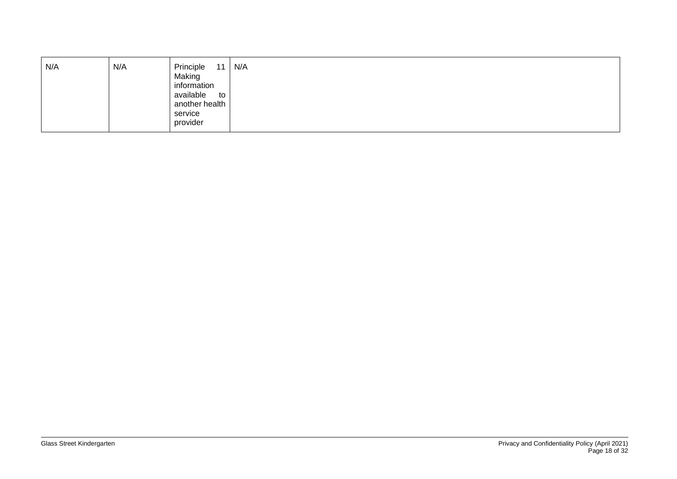| N/A | N/A | Principle<br>11<br>Making<br>information<br>available<br>to<br>another health<br>service<br>provider | N/A |
|-----|-----|------------------------------------------------------------------------------------------------------|-----|
|-----|-----|------------------------------------------------------------------------------------------------------|-----|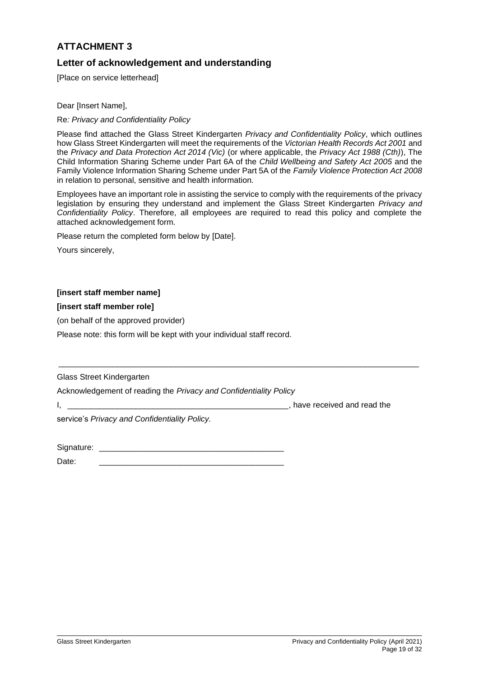# **Letter of acknowledgement and understanding**

[Place on service letterhead]

Dear [Insert Name],

Re*: Privacy and Confidentiality Policy*

Please find attached the Glass Street Kindergarten *Privacy and Confidentiality Policy*, which outlines how Glass Street Kindergarten will meet the requirements of the *Victorian Health Records Act 2001* and the *Privacy and Data Protection Act 2014 (Vic)* (or where applicable, the *Privacy Act 1988 (Cth)*), The Child Information Sharing Scheme under Part 6A of the *Child Wellbeing and Safety Act 2005* and the Family Violence Information Sharing Scheme under Part 5A of the *Family Violence Protection Act 2008* in relation to personal, sensitive and health information.

Employees have an important role in assisting the service to comply with the requirements of the privacy legislation by ensuring they understand and implement the Glass Street Kindergarten *Privacy and Confidentiality Policy*. Therefore, all employees are required to read this policy and complete the attached acknowledgement form*.* 

\_\_\_\_\_\_\_\_\_\_\_\_\_\_\_\_\_\_\_\_\_\_\_\_\_\_\_\_\_\_\_\_\_\_\_\_\_\_\_\_\_\_\_\_\_\_\_\_\_\_\_\_\_\_\_\_\_\_\_\_\_\_\_\_\_\_\_\_\_\_\_\_\_\_\_\_\_\_\_\_

Please return the completed form below by [Date].

Yours sincerely,

## **[insert staff member name]**

### **[insert staff member role]**

(on behalf of the approved provider)

Please note: this form will be kept with your individual staff record.

Glass Street Kindergarten

Acknowledgement of reading the *Privacy and Confidentiality Policy*

I, \_\_\_\_\_\_\_\_\_\_\_\_\_\_\_\_\_\_\_\_\_\_\_\_\_\_\_\_\_\_\_\_\_\_\_\_\_\_\_\_\_\_\_\_\_\_\_\_\_, have received and read the

service's *Privacy and Confidentiality Policy.*

| Signature: |  |
|------------|--|
|            |  |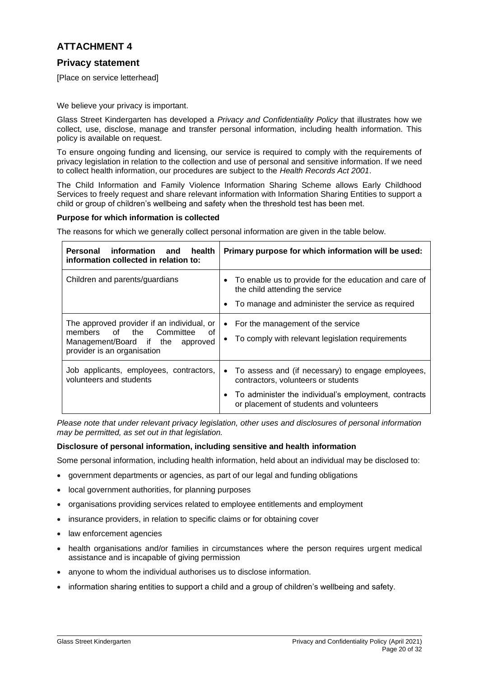# **Privacy statement**

[Place on service letterhead]

We believe your privacy is important.

Glass Street Kindergarten has developed a *Privacy and Confidentiality Policy* that illustrates how we collect, use, disclose, manage and transfer personal information, including health information. This policy is available on request.

To ensure ongoing funding and licensing, our service is required to comply with the requirements of privacy legislation in relation to the collection and use of personal and sensitive information. If we need to collect health information, our procedures are subject to the *Health Records Act 2001*.

The Child Information and Family Violence Information Sharing Scheme allows Early Childhood Services to freely request and share relevant information with Information Sharing Entities to support a child or group of children's wellbeing and safety when the threshold test has been met.

### **Purpose for which information is collected**

The reasons for which we generally collect personal information are given in the table below.

| Personal<br>information and<br>health<br>information collected in relation to:                                                                     | Primary purpose for which information will be used:                                                                                                                                                        |  |  |
|----------------------------------------------------------------------------------------------------------------------------------------------------|------------------------------------------------------------------------------------------------------------------------------------------------------------------------------------------------------------|--|--|
| Children and parents/guardians                                                                                                                     | To enable us to provide for the education and care of<br>$\bullet$<br>the child attending the service<br>To manage and administer the service as required<br>$\bullet$                                     |  |  |
| The approved provider if an individual, or<br>members of the Committee<br>0f<br>Management/Board if the<br>approved<br>provider is an organisation | • For the management of the service<br>To comply with relevant legislation requirements                                                                                                                    |  |  |
| Job applicants, employees, contractors,<br>volunteers and students                                                                                 | • To assess and (if necessary) to engage employees,<br>contractors, volunteers or students<br>To administer the individual's employment, contracts<br>$\bullet$<br>or placement of students and volunteers |  |  |

*Please note that under relevant privacy legislation, other uses and disclosures of personal information may be permitted, as set out in that legislation.*

### **Disclosure of personal information, including sensitive and health information**

Some personal information, including health information, held about an individual may be disclosed to:

- government departments or agencies, as part of our legal and funding obligations
- local government authorities, for planning purposes
- organisations providing services related to employee entitlements and employment
- insurance providers, in relation to specific claims or for obtaining cover
- law enforcement agencies
- health organisations and/or families in circumstances where the person requires urgent medical assistance and is incapable of giving permission
- anyone to whom the individual authorises us to disclose information.
- information sharing entities to support a child and a group of children's wellbeing and safety.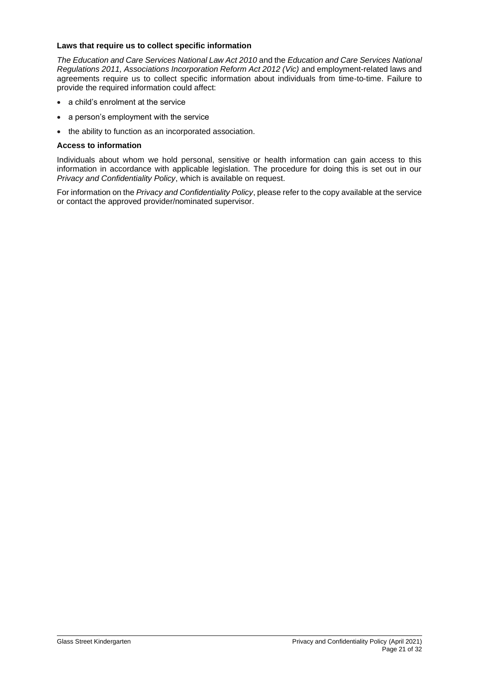#### **Laws that require us to collect specific information**

*The Education and Care Services National Law Act 2010* and the *Education and Care Services National Regulations 2011, Associations Incorporation Reform Act 2012 (Vic)* and employment-related laws and agreements require us to collect specific information about individuals from time-to-time. Failure to provide the required information could affect:

- a child's enrolment at the service
- a person's employment with the service
- the ability to function as an incorporated association.

#### **Access to information**

Individuals about whom we hold personal, sensitive or health information can gain access to this information in accordance with applicable legislation. The procedure for doing this is set out in our *Privacy and Confidentiality Policy*, which is available on request.

For information on the *Privacy and Confidentiality Policy*, please refer to the copy available at the service or contact the approved provider/nominated supervisor.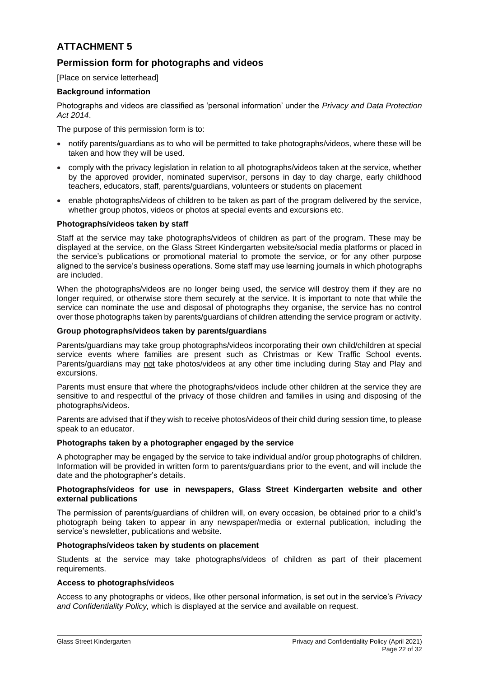# **Permission form for photographs and videos**

[Place on service letterhead]

### **Background information**

Photographs and videos are classified as 'personal information' under the *Privacy and Data Protection Act 2014*.

The purpose of this permission form is to:

- notify parents/guardians as to who will be permitted to take photographs/videos, where these will be taken and how they will be used.
- comply with the privacy legislation in relation to all photographs/videos taken at the service, whether by the approved provider, nominated supervisor, persons in day to day charge, early childhood teachers, educators, staff, parents/guardians, volunteers or students on placement
- enable photographs/videos of children to be taken as part of the program delivered by the service, whether group photos, videos or photos at special events and excursions etc.

#### **Photographs/videos taken by staff**

Staff at the service may take photographs/videos of children as part of the program. These may be displayed at the service, on the Glass Street Kindergarten website/social media platforms or placed in the service's publications or promotional material to promote the service, or for any other purpose aligned to the service's business operations. Some staff may use learning journals in which photographs are included.

When the photographs/videos are no longer being used, the service will destroy them if they are no longer required, or otherwise store them securely at the service. It is important to note that while the service can nominate the use and disposal of photographs they organise, the service has no control over those photographs taken by parents/guardians of children attending the service program or activity.

#### **Group photographs/videos taken by parents/guardians**

Parents/guardians may take group photographs/videos incorporating their own child/children at special service events where families are present such as Christmas or Kew Traffic School events. Parents/guardians may not take photos/videos at any other time including during Stay and Play and excursions.

Parents must ensure that where the photographs/videos include other children at the service they are sensitive to and respectful of the privacy of those children and families in using and disposing of the photographs/videos.

Parents are advised that if they wish to receive photos/videos of their child during session time, to please speak to an educator.

### **Photographs taken by a photographer engaged by the service**

A photographer may be engaged by the service to take individual and/or group photographs of children. Information will be provided in written form to parents/guardians prior to the event, and will include the date and the photographer's details.

#### **Photographs/videos for use in newspapers, Glass Street Kindergarten website and other external publications**

The permission of parents/guardians of children will, on every occasion, be obtained prior to a child's photograph being taken to appear in any newspaper/media or external publication, including the service's newsletter, publications and website.

#### **Photographs/videos taken by students on placement**

Students at the service may take photographs/videos of children as part of their placement requirements.

### **Access to photographs/videos**

Access to any photographs or videos, like other personal information, is set out in the service's *Privacy and Confidentiality Policy,* which is displayed at the service and available on request.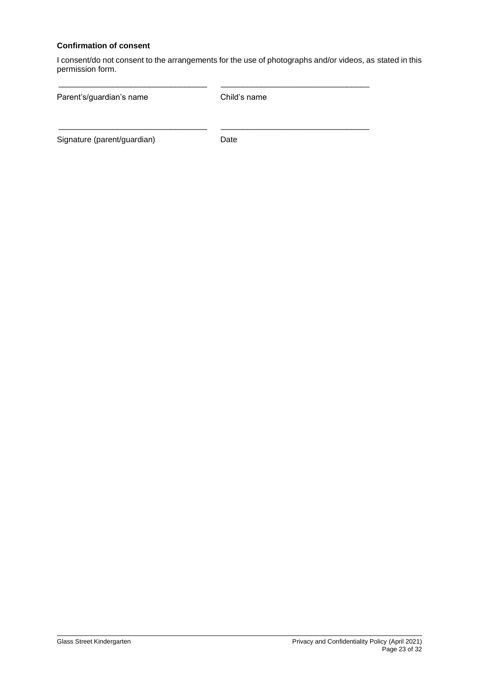## **Confirmation of consent**

I consent/do not consent to the arrangements for the use of photographs and/or videos, as stated in this permission form.

| Parent's/guardian's name    | Child's name |  |
|-----------------------------|--------------|--|
|                             |              |  |
| Signature (parent/guardian) | Date         |  |

\_\_\_\_\_\_\_\_\_\_\_\_\_\_\_\_\_\_\_\_\_\_\_\_\_\_\_\_\_\_\_\_\_ \_\_\_\_\_\_\_\_\_\_\_\_\_\_\_\_\_\_\_\_\_\_\_\_\_\_\_\_\_\_\_\_\_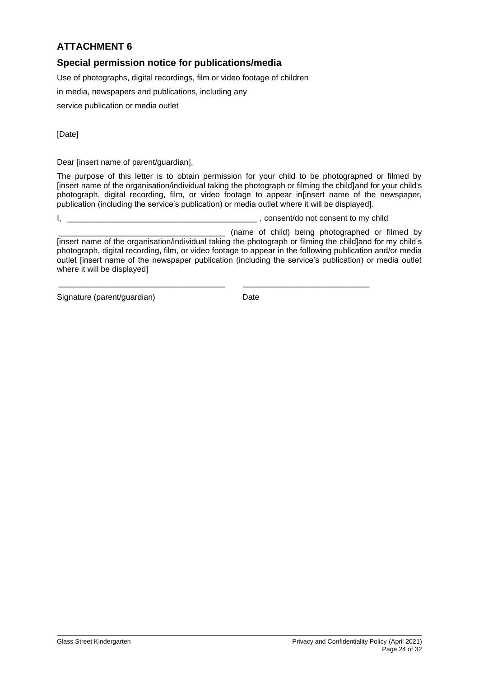# **Special permission notice for publications/media**

Use of photographs, digital recordings, film or video footage of children

in media, newspapers and publications, including any

service publication or media outlet

[Date]

Dear [insert name of parent/guardian],

The purpose of this letter is to obtain permission for your child to be photographed or filmed by [insert name of the organisation/individual taking the photograph or filming the child]and for your child's photograph, digital recording, film, or video footage to appear in[insert name of the newspaper, publication (including the service's publication) or media outlet where it will be displayed].

I, the consention of the consention of the consention of consention of consent to my child

\_\_\_\_\_\_\_\_\_\_\_\_\_\_\_\_\_\_\_\_\_\_\_\_\_\_\_\_\_\_\_\_\_\_\_\_\_ \_\_\_\_\_\_\_\_\_\_\_\_\_\_\_\_\_\_\_\_\_\_\_\_\_\_\_\_

(name of child) being photographed or filmed by [insert name of the organisation/individual taking the photograph or filming the child]and for my child's photograph, digital recording, film, or video footage to appear in the following publication and/or media outlet [insert name of the newspaper publication (including the service's publication) or media outlet where it will be displayed]

Signature (parent/guardian) Date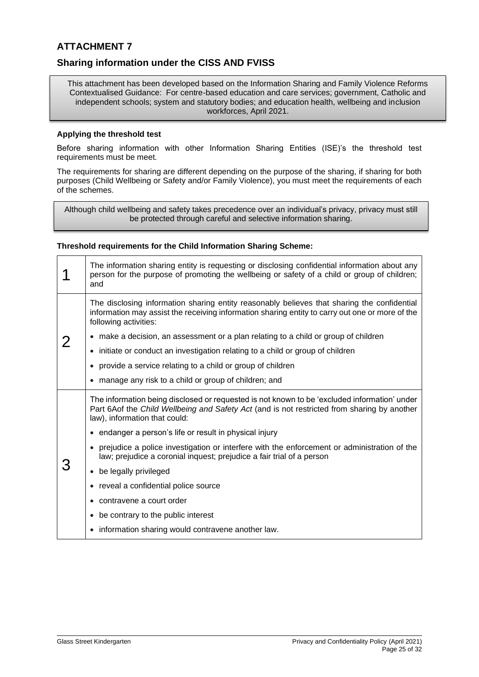## **Sharing information under the CISS AND FVISS**

This attachment has been developed based on the Information Sharing and Family Violence Reforms Contextualised Guidance: For centre-based education and care services; government, Catholic and independent schools; system and statutory bodies; and education health, wellbeing and inclusion workforces, April 2021.

#### **Applying the threshold test**

Before sharing information with other Information Sharing Entities (ISE)'s the threshold test requirements must be meet.

The requirements for sharing are different depending on the purpose of the sharing, if sharing for both purposes (Child Wellbeing or Safety and/or Family Violence), you must meet the requirements of each of the schemes.

Although child wellbeing and safety takes precedence over an individual's privacy, privacy must still be protected through careful and selective information sharing.

#### **Threshold requirements for the Child Information Sharing Scheme:**

|  | The information sharing entity is requesting or disclosing confidential information about any<br>person for the purpose of promoting the wellbeing or safety of a child or group of children;<br>and                         |
|--|------------------------------------------------------------------------------------------------------------------------------------------------------------------------------------------------------------------------------|
|  | The disclosing information sharing entity reasonably believes that sharing the confidential<br>information may assist the receiving information sharing entity to carry out one or more of the<br>following activities:      |
|  | • make a decision, an assessment or a plan relating to a child or group of children                                                                                                                                          |
|  | • initiate or conduct an investigation relating to a child or group of children                                                                                                                                              |
|  | • provide a service relating to a child or group of children                                                                                                                                                                 |
|  | • manage any risk to a child or group of children; and                                                                                                                                                                       |
|  | The information being disclosed or requested is not known to be 'excluded information' under<br>Part 6Aof the Child Wellbeing and Safety Act (and is not restricted from sharing by another<br>law), information that could: |
|  | • endanger a person's life or result in physical injury                                                                                                                                                                      |
|  | • prejudice a police investigation or interfere with the enforcement or administration of the<br>law; prejudice a coronial inquest; prejudice a fair trial of a person                                                       |
|  | • be legally privileged                                                                                                                                                                                                      |
|  | • reveal a confidential police source                                                                                                                                                                                        |
|  | • contravene a court order                                                                                                                                                                                                   |
|  | • be contrary to the public interest                                                                                                                                                                                         |
|  | • information sharing would contravene another law.                                                                                                                                                                          |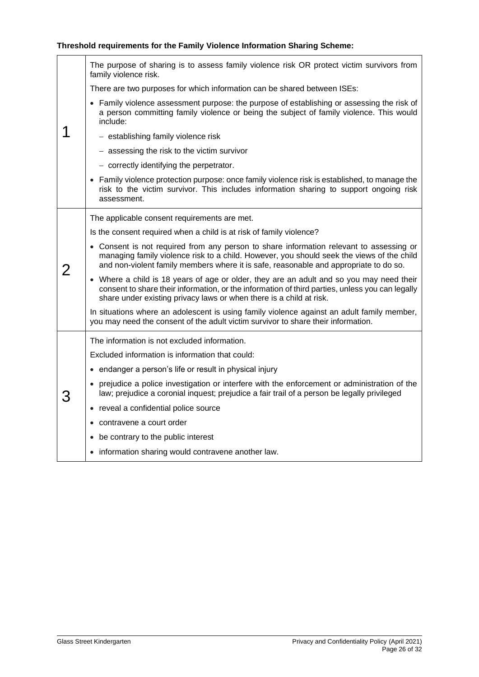# **Threshold requirements for the Family Violence Information Sharing Scheme:**

|   | The purpose of sharing is to assess family violence risk OR protect victim survivors from<br>family violence risk.                                                                                                                                                            |
|---|-------------------------------------------------------------------------------------------------------------------------------------------------------------------------------------------------------------------------------------------------------------------------------|
|   | There are two purposes for which information can be shared between ISEs:                                                                                                                                                                                                      |
|   | • Family violence assessment purpose: the purpose of establishing or assessing the risk of<br>a person committing family violence or being the subject of family violence. This would<br>include:                                                                             |
|   | - establishing family violence risk                                                                                                                                                                                                                                           |
|   | - assessing the risk to the victim survivor                                                                                                                                                                                                                                   |
|   | - correctly identifying the perpetrator.                                                                                                                                                                                                                                      |
|   | • Family violence protection purpose: once family violence risk is established, to manage the<br>risk to the victim survivor. This includes information sharing to support ongoing risk<br>assessment.                                                                        |
|   | The applicable consent requirements are met.                                                                                                                                                                                                                                  |
| 2 | Is the consent required when a child is at risk of family violence?                                                                                                                                                                                                           |
|   | • Consent is not required from any person to share information relevant to assessing or<br>managing family violence risk to a child. However, you should seek the views of the child<br>and non-violent family members where it is safe, reasonable and appropriate to do so. |
|   | • Where a child is 18 years of age or older, they are an adult and so you may need their<br>consent to share their information, or the information of third parties, unless you can legally<br>share under existing privacy laws or when there is a child at risk.            |
|   | In situations where an adolescent is using family violence against an adult family member,<br>you may need the consent of the adult victim survivor to share their information.                                                                                               |
|   | The information is not excluded information.                                                                                                                                                                                                                                  |
|   | Excluded information is information that could:                                                                                                                                                                                                                               |
|   | • endanger a person's life or result in physical injury                                                                                                                                                                                                                       |
|   | • prejudice a police investigation or interfere with the enforcement or administration of the<br>law; prejudice a coronial inquest; prejudice a fair trail of a person be legally privileged                                                                                  |
|   | • reveal a confidential police source                                                                                                                                                                                                                                         |
|   | • contravene a court order                                                                                                                                                                                                                                                    |
|   | • be contrary to the public interest                                                                                                                                                                                                                                          |
|   | • information sharing would contravene another law.                                                                                                                                                                                                                           |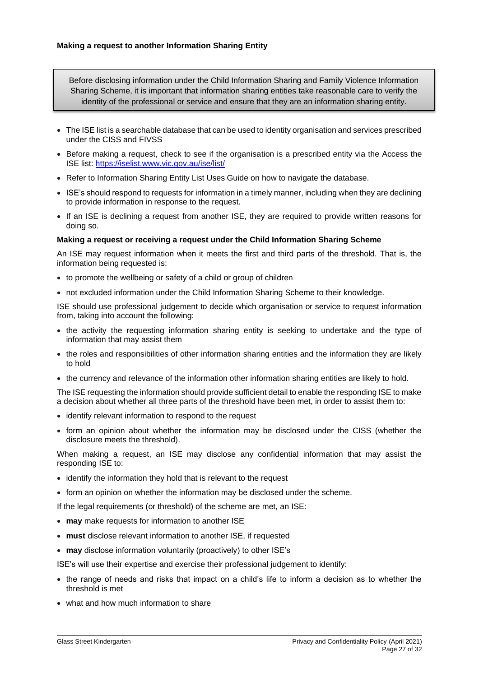Before disclosing information under the Child Information Sharing and Family Violence Information Sharing Scheme, it is important that information sharing entities take reasonable care to verify the identity of the professional or service and ensure that they are an information sharing entity.

- The ISE list is a searchable database that can be used to identity organisation and services prescribed under the CISS and FIVSS
- Before making a request, check to see if the organisation is a prescribed entity via the Access the ISE list:<https://iselist.www.vic.gov.au/ise/list/>
- Refer to Information Sharing Entity List Uses Guide on how to navigate the database.
- ISE's should respond to requests for information in a timely manner, including when they are declining to provide information in response to the request.
- If an ISE is declining a request from another ISE, they are required to provide written reasons for doing so.

#### **Making a request or receiving a request under the Child Information Sharing Scheme**

An ISE may request information when it meets the first and third parts of the threshold. That is, the information being requested is:

- to promote the wellbeing or safety of a child or group of children
- not excluded information under the Child Information Sharing Scheme to their knowledge.

ISE should use professional judgement to decide which organisation or service to request information from, taking into account the following:

- the activity the requesting information sharing entity is seeking to undertake and the type of information that may assist them
- the roles and responsibilities of other information sharing entities and the information they are likely to hold
- the currency and relevance of the information other information sharing entities are likely to hold.

The ISE requesting the information should provide sufficient detail to enable the responding ISE to make a decision about whether all three parts of the threshold have been met, in order to assist them to:

- identify relevant information to respond to the request
- form an opinion about whether the information may be disclosed under the CISS (whether the disclosure meets the threshold).

When making a request, an ISE may disclose any confidential information that may assist the responding ISE to:

- identify the information they hold that is relevant to the request
- form an opinion on whether the information may be disclosed under the scheme.

If the legal requirements (or threshold) of the scheme are met, an ISE:

- **may** make requests for information to another ISE
- **must** disclose relevant information to another ISE, if requested
- **may** disclose information voluntarily (proactively) to other ISE's

ISE's will use their expertise and exercise their professional judgement to identify:

- the range of needs and risks that impact on a child's life to inform a decision as to whether the threshold is met
- what and how much information to share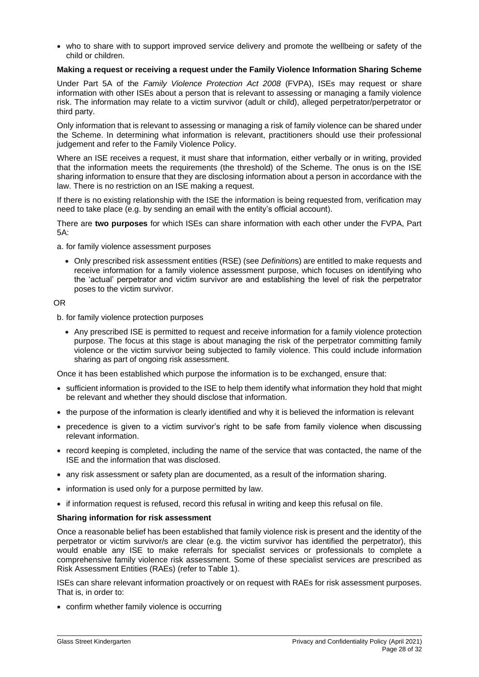• who to share with to support improved service delivery and promote the wellbeing or safety of the child or children.

#### **Making a request or receiving a request under the Family Violence Information Sharing Scheme**

Under Part 5A of the *Family Violence Protection Act 2008* (FVPA), ISEs may request or share information with other ISEs about a person that is relevant to assessing or managing a family violence risk. The information may relate to a victim survivor (adult or child), alleged perpetrator/perpetrator or third party.

Only information that is relevant to assessing or managing a risk of family violence can be shared under the Scheme. In determining what information is relevant, practitioners should use their professional judgement and refer to the Family Violence Policy.

Where an ISE receives a request, it must share that information, either verbally or in writing, provided that the information meets the requirements (the threshold) of the Scheme. The onus is on the ISE sharing information to ensure that they are disclosing information about a person in accordance with the law. There is no restriction on an ISE making a request.

If there is no existing relationship with the ISE the information is being requested from, verification may need to take place (e.g. by sending an email with the entity's official account).

There are **two purposes** for which ISEs can share information with each other under the FVPA, Part 5A:

a. for family violence assessment purposes

• Only prescribed risk assessment entities (RSE) (see *Definition*s) are entitled to make requests and receive information for a family violence assessment purpose, which focuses on identifying who the 'actual' perpetrator and victim survivor are and establishing the level of risk the perpetrator poses to the victim survivor.

#### OR

b. for family violence protection purposes

• Any prescribed ISE is permitted to request and receive information for a family violence protection purpose. The focus at this stage is about managing the risk of the perpetrator committing family violence or the victim survivor being subjected to family violence. This could include information sharing as part of ongoing risk assessment.

Once it has been established which purpose the information is to be exchanged, ensure that:

- sufficient information is provided to the ISE to help them identify what information they hold that might be relevant and whether they should disclose that information.
- the purpose of the information is clearly identified and why it is believed the information is relevant
- precedence is given to a victim survivor's right to be safe from family violence when discussing relevant information.
- record keeping is completed, including the name of the service that was contacted, the name of the ISE and the information that was disclosed.
- any risk assessment or safety plan are documented, as a result of the information sharing.
- information is used only for a purpose permitted by law.
- if information request is refused, record this refusal in writing and keep this refusal on file.

#### **Sharing information for risk assessment**

Once a reasonable belief has been established that family violence risk is present and the identity of the perpetrator or victim survivor/s are clear (e.g. the victim survivor has identified the perpetrator), this would enable any ISE to make referrals for specialist services or professionals to complete a comprehensive family violence risk assessment. Some of these specialist services are prescribed as Risk Assessment Entities (RAEs) (refer to Table 1).

ISEs can share relevant information proactively or on request with RAEs for risk assessment purposes. That is, in order to:

• confirm whether family violence is occurring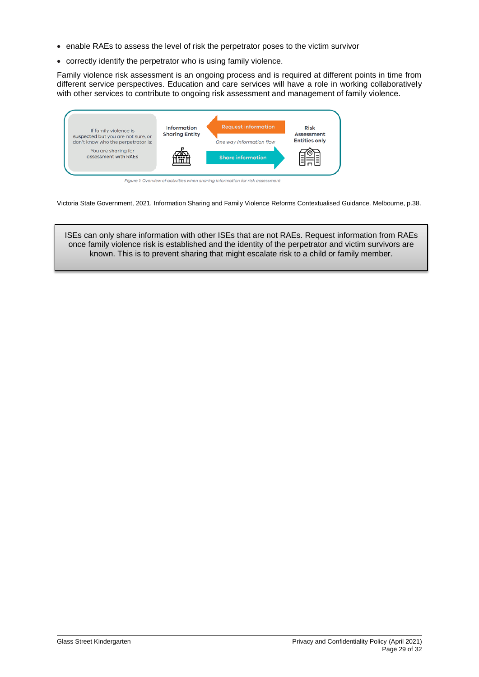- enable RAEs to assess the level of risk the perpetrator poses to the victim survivor
- correctly identify the perpetrator who is using family violence.

Family violence risk assessment is an ongoing process and is required at different points in time from different service perspectives. Education and care services will have a role in working collaboratively with other services to contribute to ongoing risk assessment and management of family violence.



Victoria State Government, 2021. Information Sharing and Family Violence Reforms Contextualised Guidance. Melbourne, p.38.

ISEs can only share information with other ISEs that are not RAEs. Request information from RAEs once family violence risk is established and the identity of the perpetrator and victim survivors are known. This is to prevent sharing that might escalate risk to a child or family member.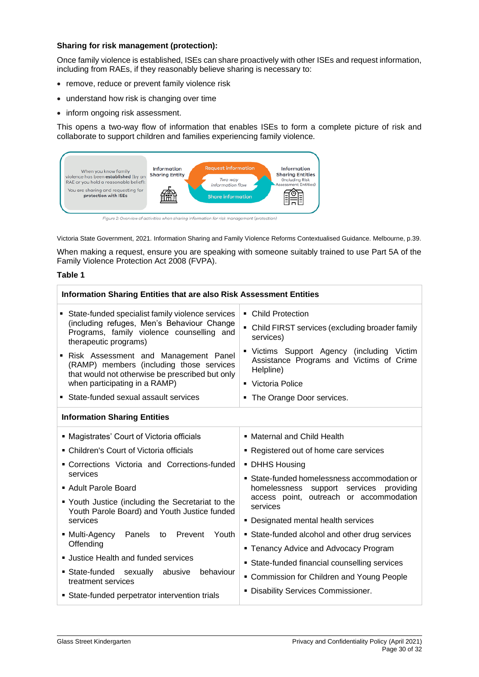### **Sharing for risk management (protection):**

Once family violence is established, ISEs can share proactively with other ISEs and request information, including from RAEs, if they reasonably believe sharing is necessary to:

- remove, reduce or prevent family violence risk
- understand how risk is changing over time
- inform ongoing risk assessment.

This opens a two-way flow of information that enables ISEs to form a complete picture of risk and collaborate to support children and families experiencing family violence.



Figure 2: Overview of activities when sharing information for risk management (protection)

Victoria State Government, 2021. Information Sharing and Family Violence Reforms Contextualised Guidance. Melbourne, p.39.

When making a request, ensure you are speaking with someone suitably trained to use Part 5A of the Family Violence Protection Act 2008 (FVPA).

### **Table 1**

| Information Sharing Entities that are also Risk Assessment Entities                                                                                                                                                                                                                                                                                                                      |                                                                                                                                                                                                                                                |  |  |
|------------------------------------------------------------------------------------------------------------------------------------------------------------------------------------------------------------------------------------------------------------------------------------------------------------------------------------------------------------------------------------------|------------------------------------------------------------------------------------------------------------------------------------------------------------------------------------------------------------------------------------------------|--|--|
| • State-funded specialist family violence services<br>(including refuges, Men's Behaviour Change<br>Programs, family violence counselling and<br>therapeutic programs)<br>Risk Assessment and Management Panel<br>(RAMP) members (including those services<br>that would not otherwise be prescribed but only<br>when participating in a RAMP)<br>• State-funded sexual assault services | • Child Protection<br>• Child FIRST services (excluding broader family<br>services)<br>" Victims Support Agency (including Victim<br>Assistance Programs and Victims of Crime<br>Helpline)<br>• Victoria Police<br>• The Orange Door services. |  |  |
| <b>Information Sharing Entities</b>                                                                                                                                                                                                                                                                                                                                                      |                                                                                                                                                                                                                                                |  |  |
| • Magistrates' Court of Victoria officials<br>• Children's Court of Victoria officials<br>• Corrections Victoria and Corrections-funded                                                                                                                                                                                                                                                  | • Maternal and Child Health<br>• Registered out of home care services<br>• DHHS Housing                                                                                                                                                        |  |  |
| services<br>• Adult Parole Board<br>" Youth Justice (including the Secretariat to the<br>Youth Parole Board) and Youth Justice funded<br>services                                                                                                                                                                                                                                        | • State-funded homelessness accommodation or<br>homelessness support services<br>providing<br>access point, outreach or accommodation<br>services<br>• Designated mental health services                                                       |  |  |
| ■ Multi-Agency<br>Panels<br>Prevent<br>Youth<br>to<br>Offending<br><b>Justice Health and funded services</b><br>State-funded sexually abusive<br>behaviour                                                                                                                                                                                                                               | • State-funded alcohol and other drug services<br>• Tenancy Advice and Advocacy Program<br>• State-funded financial counselling services                                                                                                       |  |  |
| treatment services<br>• State-funded perpetrator intervention trials                                                                                                                                                                                                                                                                                                                     | • Commission for Children and Young People<br><b>Disability Services Commissioner.</b>                                                                                                                                                         |  |  |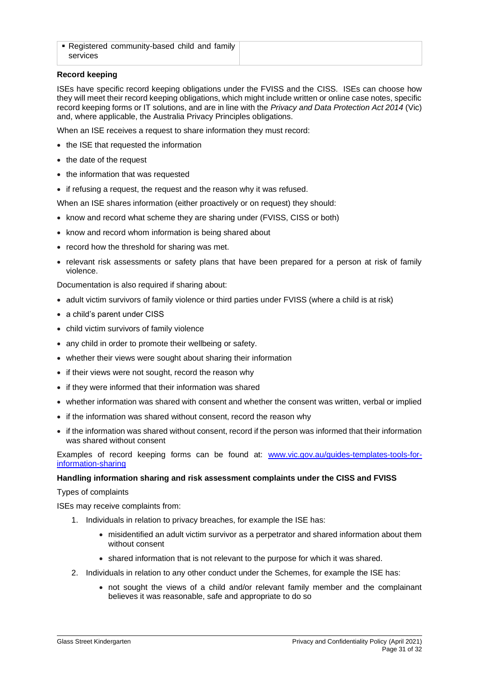**• Registered community-based child and family** services

### **Record keeping**

ISEs have specific record keeping obligations under the FVISS and the CISS. ISEs can choose how they will meet their record keeping obligations, which might include written or online case notes, specific record keeping forms or IT solutions, and are in line with the *Privacy and Data Protection Act 2014* (Vic) and, where applicable, the Australia Privacy Principles obligations.

When an ISE receives a request to share information they must record:

- the ISE that requested the information
- the date of the request
- the information that was requested
- if refusing a request, the request and the reason why it was refused.

When an ISE shares information (either proactively or on request) they should:

- know and record what scheme they are sharing under (FVISS, CISS or both)
- know and record whom information is being shared about
- record how the threshold for sharing was met.
- relevant risk assessments or safety plans that have been prepared for a person at risk of family violence.

Documentation is also required if sharing about:

- adult victim survivors of family violence or third parties under FVISS (where a child is at risk)
- a child's parent under CISS
- child victim survivors of family violence
- any child in order to promote their wellbeing or safety.
- whether their views were sought about sharing their information
- if their views were not sought, record the reason why
- if they were informed that their information was shared
- whether information was shared with consent and whether the consent was written, verbal or implied
- if the information was shared without consent, record the reason why
- if the information was shared without consent, record if the person was informed that their information was shared without consent

Examples of record keeping forms can be found at: [www.vic.gov.au/guides-templates-tools-for](http://www.vic.gov.au/guides-templates-tools-for-information-sharing)[information-sharing](http://www.vic.gov.au/guides-templates-tools-for-information-sharing)

### **Handling information sharing and risk assessment complaints under the CISS and FVISS**

Types of complaints

ISEs may receive complaints from:

- 1. Individuals in relation to privacy breaches, for example the ISE has:
	- misidentified an adult victim survivor as a perpetrator and shared information about them without consent
	- shared information that is not relevant to the purpose for which it was shared.
- 2. Individuals in relation to any other conduct under the Schemes, for example the ISE has:
	- not sought the views of a child and/or relevant family member and the complainant believes it was reasonable, safe and appropriate to do so